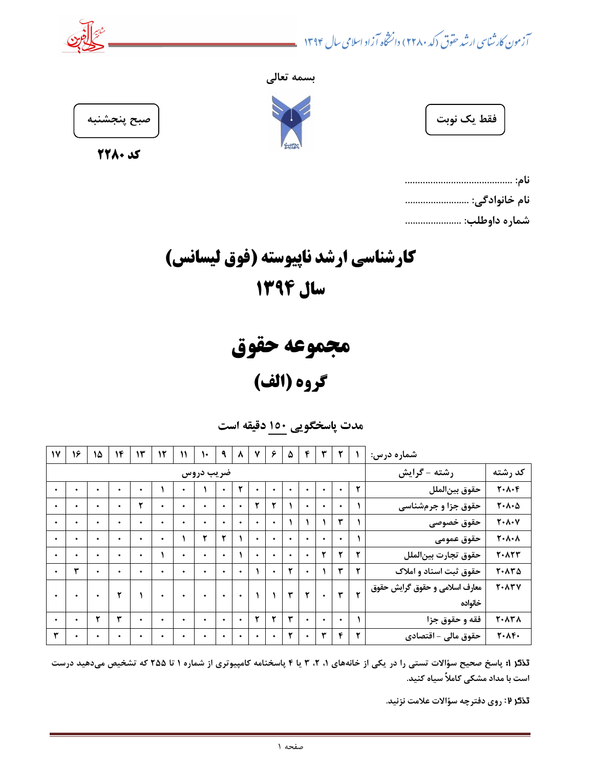آزمون کارشناسی ارشد حقوق (کد ۲۲۸۰) دانشخاه آزاد اسلامی سال ۱۳۹۴











| فقط<br>، ک<br>ـ ب |  |
|-------------------|--|
|-------------------|--|

| نام خانوادگی: |
|---------------|
| شماره داوطلب: |

كارشناسي ارشد ناپيوسته (فوق ليسانس) سال 1394

مجموعه حقوق گروه (الف)

مدت پاسخگويي 051 دقيقه است

| $\mathsf{N}'$ | ۱۶ | ۱۵ | ۱۴ | $\mathcal{N}$ | ۱۲        | ١١        | ١٠        | ٩         | $\lambda$ | ۷         | ۶         | ۵ | ۴         | ٣ |                |   | شماره درس:                                      |                                           |
|---------------|----|----|----|---------------|-----------|-----------|-----------|-----------|-----------|-----------|-----------|---|-----------|---|----------------|---|-------------------------------------------------|-------------------------------------------|
|               |    |    |    |               |           |           | ضریب دروس |           |           |           |           |   |           |   |                |   | رشته - گرایش                                    | كد رشته                                   |
| ٠             | ٠  | ۰  | ٠  | $\bullet$     |           | ٠         |           | ٠         | ۲         |           | $\bullet$ | ۰ | ٠         | ۰ | ۰              | ۲ | حقوق بين لملل                                   | $Y \cdot \Lambda \cdot F$                 |
| ٠             | ٠  | ٠  | ٠  | ۲             | ۰         | ٠         | ٠         | ٠         | $\bullet$ | ۲         | ۲         |   | ٠         | ۰ | ۰              |   | حقوق جزا و جرمشناسی                             | $T - \Lambda - \Delta$                    |
| ٠             | ٠  | ٠  | ٠  | $\bullet$     | ٠         | ٠         | ٠         | ٠         | ٠         | ٠         | ۰         |   |           |   | ۳              |   | حقوق خصوصى                                      | $Y \cdot \Lambda \cdot V$                 |
| ٠             | ٠  | ۰  | ٠  | $\bullet$     | ۰         |           | ۲         | ۲         |           | $\bullet$ | ٠         | ٠ | ٠         | ۰ | ۰              |   | حقوق عمومى                                      | $Y \cdot \Lambda \cdot \Lambda$           |
| ٠             | ٠  | ٠  | ٠  | ٠             |           | ٠         | ٠         | $\bullet$ |           | ٠         | $\bullet$ | ٠ | ٠         | ۲ | ۲              | ۲ | حقوق تجارت بين لملل                             | <b>7. ATT</b>                             |
| ٠             | ۳  | ۰  | ٠  | $\bullet$     | ٠         | ٠         | ٠         | $\bullet$ | ٠         |           | $\bullet$ | ۲ | $\bullet$ |   | ۳              | ۲ | حقوق ثبت اسناد و املاک                          | $Y \cdot \Lambda Y \Delta$                |
| $\bullet$     | ٠  | ٠  | ۲  |               | $\bullet$ | $\bullet$ | $\bullet$ | $\bullet$ | $\bullet$ |           |           | ۳ | ۲         |   | ٣<br>$\bullet$ | ۲ | معارف اسلامی و حقوق گرایش حقوق<br><b>7. ATV</b> |                                           |
|               |    |    |    |               |           |           |           |           |           |           |           |   |           |   |                |   | خانواده                                         |                                           |
| ٠             | ٠  | ۲  | ٣  | $\bullet$     | $\bullet$ | ٠         | ٠         | $\bullet$ | $\bullet$ | ۲         | ۲         | ٣ | ٠         | ۰ | ٠              |   | فقه و حقوق جزا                                  | <b>T</b> . $\Lambda$ $\Upsilon$ $\Lambda$ |
| ۳             |    | ۰  | ٠  | ٠             | ۰         | ٠         | ٠         | ٠         | ٠         | ۰         | ۰         | ۲ | ٠         | ٣ | ۴              | ۲ | حقوق مالي - اقتصادي                             | $Y \cdot \Lambda Y \cdot$                 |

تذكر 1: پاسخ صحيح سؤالات تستي را در يكي از خانههاي ١، ٢، ٣ يا ۴ پاسخنامه كامپيوتري از شماره ١ تا ٢٥٥ كه تشخيص ميدهيد درست است با مداد مشكي كاملاً سياه كنيد.

تذكر 7: روي دفترچه سؤالات علامت نزنيد.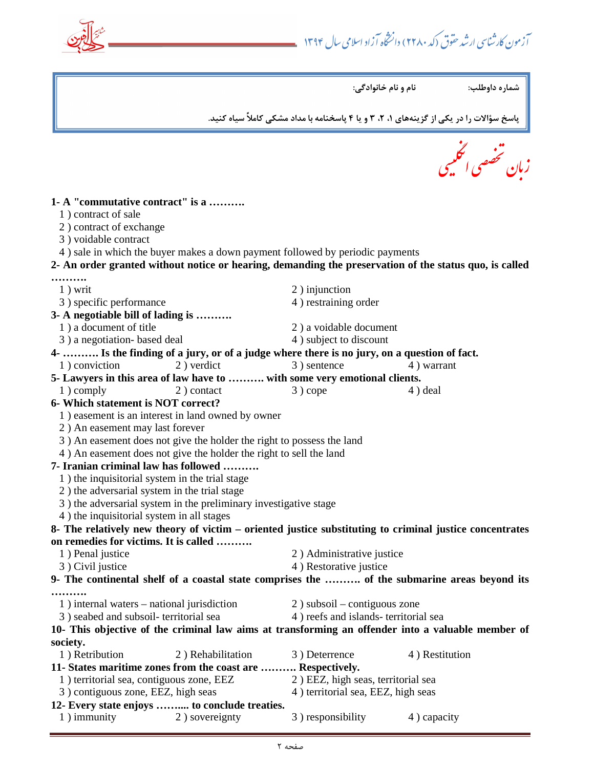آزمون کارشناسی ارشد حقوق (کد ۲۲۸۰) دانشخاه آزاد اسلامی سال ۱۳۹۴

 $\overline{a}$ 

 $\overline{a}$  $\overline{C}$ مصی انٹھیس<sub></sub> , شخص زبان تخصصی الکلیبی **1- A "commutative contract" is a ……….**  1 ) contract of sale 2 ) contract of exchange 3 ) voidable contract 4 ) sale in which the buyer makes a down payment followed by periodic payments **2- An order granted without notice or hearing, demanding the preservation of the status quo, is called ……….**  1) writ 2) injunction 3) specific performance 4 (4) restraining order **3- A negotiable bill of lading is ……….**  1 ) a document of title 2 ) a voidable document 3) a negotiation- based deal 4) subject to discount **4- ………. Is the finding of a jury, or of a judge where there is no jury, on a question of fact.**  1) conviction 2) verdict 3) sentence 4) warrant **5- Lawyers in this area of law have to ………. with some very emotional clients.**  1) comply 2) contact 3) cope 4) deal **6- Which statement is NOT correct?**  1 ) easement is an interest in land owned by owner 2 ) An easement may last forever 3 ) An easement does not give the holder the right to possess the land 4 ) An easement does not give the holder the right to sell the land **7- Iranian criminal law has followed ……….**  1 ) the inquisitorial system in the trial stage 2 ) the adversarial system in the trial stage 3 ) the adversarial system in the preliminary investigative stage 4 ) the inquisitorial system in all stages **8- The relatively new theory of victim – oriented justice substituting to criminal justice concentrates on remedies for victims. It is called ……….**  1 ) Penal justice 2 ) Administrative justice 3) Civil justice 4 ) Restorative justice **9- The continental shelf of a coastal state comprises the ………. of the submarine areas beyond its ……….**  1 ) internal waters – national jurisdiction 2 ) subsoil – contiguous zone 3 ) seabed and subsoil- territorial sea 4 ) reefs and islands- territorial sea **10- This objective of the criminal law aims at transforming an offender into a valuable member of society.**  1 ) Retribution 2 ) Rehabilitation 3 ) Deterrence 4 ) Restitution **11- States maritime zones from the coast are ………. Respectively.**  1 ) territorial sea, contiguous zone, EEZ 2 ) EEZ, high seas, territorial sea 3) contiguous zone, EEZ, high seas 4) territorial sea, EEZ, high seas **12- Every state enjoys …….... to conclude treaties.** 1) immunity 2) sovereignty 3) responsibility 4) capacity شماره داوطلب: نام و نام خانوادگي: پاسخ سؤالات را در يكي از گزينههاي ،1 ،2 3 و يا 4 پاسخنامه با مداد مشكي كاملاً سياه كنيد.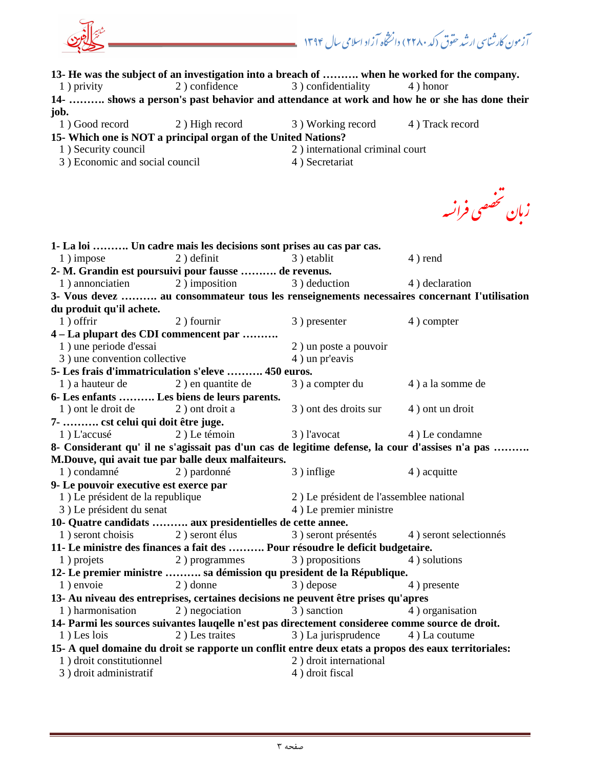آزمون کارشناسی ارشد حقوق (کد ۲۲۸۰) دانشخاه آزاد اسلامی سال ۱۳۹۴ **13- He was the subject of an investigation into a breach of ………. when he worked for the company.**  1 ) privity 2 ) confidence 3 ) confidentiality 4 ) honor **14- ………. shows a person's past behavior and attendance at work and how he or she has done their job.**  1 ) Good record 2 ) High record 3 ) Working record 4 ) Track record **15- Which one is NOT a principal organ of the United Nations?**  1) Security council 2 international criminal court 3 ) Economic and social council 4 (4) Secretariat تخصصى زبان تخصصی فرانسه **1- La loi ………. Un cadre mais les decisions sont prises au cas par cas.**  1) impose 2) definit 3) etablit 4) rend **2- M. Grandin est poursuivi pour fausse ………. de revenus.**  1) annonciatien 2) imposition 3) deduction 4) declaration **3- Vous devez ………. au consommateur tous les renseignements necessaires concernant I'utilisation du produit qu'il achete.**  1) offrir 2) fournir 3) presenter 4) compter **4 – La plupart des CDI commencent par ……….**  1 ) une periode d'essai 2 ) un poste a pouvoir 3) une convention collective 4 (4) un pr'eavis **5- Les frais d'immatriculation s'eleve ………. 450 euros.**  1 ) a hauteur de 2 ) en quantite de 3 ) a compter du 4 ) a la somme de **6- Les enfants ………. Les biens de leurs parents.**  1 ) ont le droit de 2 ) ont droit a 3 ) ont des droits sur 4 ) ont un droit **7- ………. cst celui qui doit être juge.**  1 ) L'accusé 2 ) Le témoin 3 ) l'avocat 4 ) Le condamne **8- Considerant qu' il ne s'agissait pas d'un cas de legitime defense, la cour d'assises n'a pas ………. M.Douve, qui avait tue par balle deux malfaiteurs.**  1) condamné 2) pardonné 3) inflige 4) acquitte **9- Le pouvoir executive est exerce par**  1 ) Le président de la republique 2 ) Le président de l'assemblee national 3) Le président du senat 4 (4) Le premier ministre **10- Quatre candidats ………. aux presidentielles de cette annee.**  1 ) seront choisis 2 ) seront élus 3 ) seront présentés 4 ) seront selectionnés **11- Le ministre des finances a fait des ………. Pour résoudre le deficit budgetaire.**  1 ) projets 2 ) programmes 3 ) propositions 4 ) solutions **12- Le premier ministre ………. sa démission qu president de la République.**  1 ) envoie 2 ) donne 3 ) depose 4 ) presente **13- Au niveau des entreprises, certaines decisions ne peuvent être prises qu'apres**  1) harmonisation 2) negociation 3) sanction 4) organisation **14- Parmi les sources suivantes lauqelle n'est pas directement consideree comme source de droit.**  1 ) Les lois 2 ) Les traites 3 ) La jurisprudence 4 ) La coutume **15- A quel domaine du droit se rapporte un conflit entre deux etats a propos des eaux territoriales:**  1 ) droit constitutionnel 2 ) droit international 3) droit administratif 4 and 4 and 4 and 4 and 4 and 4 and 4 and 4 and 4 and 4 and 4 and 4 and 4 and 4 and 4 and 4 and 4 and 4 and 4 and 4 and 4 and 4 and 4 and 4 and 4 and 4 and 4 and 4 and 4 and 4 and 4 and 4 and 4 and 4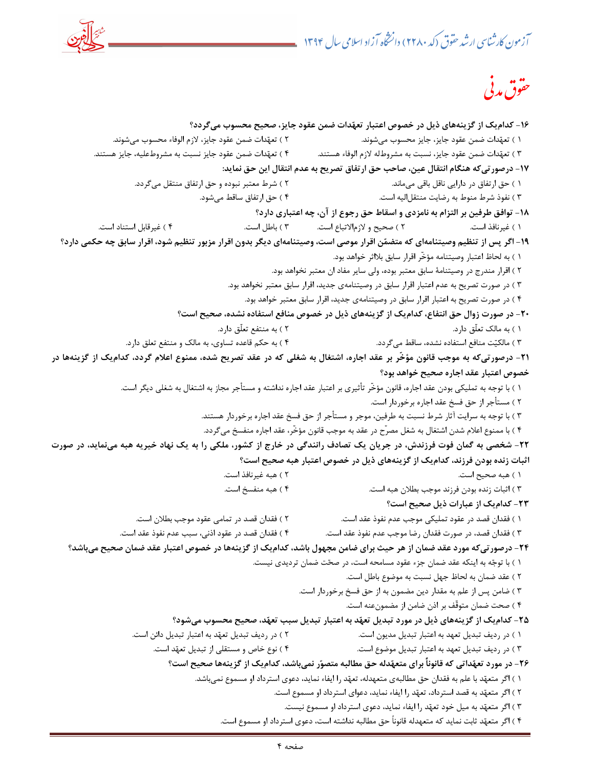

$$
\stackrel{.}{\sim} \delta \stackrel{.}{\sim} \delta \stackrel{.}{\sim}
$$

-16 كداميك از گزينههاي ذيل در خصوص اعتبار تعهدات ضمن عقود جايز، صحيح محسوب ميگردد؟ 1 ) تعهدات ضمن عقود جايز، جايز محسوب ميشوند. 2 ) تعهدات ضمن عقود جايز، لازم الوفاء محسوب ميشوند. 3 ) تعهدات ضمن عقود جايز، نسبت به مشروطله لازم الوفاء هستند. 4 ) تعهدات ضمن عقود جايز نسبت به مشروطعليه، جايز هستند. -17 درصورتيكه هنگام انتقال عين، صاحب حق ارتفاق تصريح به عدم انتقال اين حق نمايد: 1 ) حق ارتفاق در دارايي ناقل باقي ميماند. 2 ) شرط معتبر نبوده و حق ارتفاق منتقل ميگردد. 3 ) نفوذ شرط منوط به رضايت منتقلاليه است. 4 ) حق ارتفاق ساقط ميشود. -18 توافق طرفين بر التزام به نامزدي و اسقاط حق رجوع از آن، چه اعتباري دارد؟ 1 ) غيرنافذ است. 2 ) صحيح و لازمالاتباع است. 3 ) باطل است. 4 ) غيرقابل استناد است. -19 اگر پس از تنظيم وصيتنامهاي كه متضمن اقرار موصي است، وصيتنامهاي ديگر بدون اقرار مزبور تنظيم شود، اقرار سابق چه حكمي دارد؟ 1 ) به لحاظ اعتبار وصيتنامه مؤخّر اقرار سابق بلااثر خواهد بود. 2 ) اقرار مندرج در وصيتنامة سابق معتبر بوده، ولي ساير مفاد ان معتبر نخواهد بود. 3 ) در صورت تصريح به عدم اعتبار اقرار سابق در وصيتنامهي جديد، اقرار سابق معتبر نخواهد بود. 4 ) در صورت تصريح به اعتبار اقرار سابق در وصيتنامهي جديد، اقرار سابق معتبر خواهد بود. -20 در صورت زوال حق انتفاع، كداميك از گزينههاي ذيل در خصوص منافع استفاده نشده، صحيح است؟ 1 ) به مالك تعلّق دارد. 2 ) به منتفع تعلّق دارد. 3 ) مالكيت منافع استفاده نشده، ساقط ميگردد. 4 تس ) به حكم قاعده اوي، به مالك و منتفع تعلق دارد. -21 درصورتيكه به موجب قانون مؤخّر بر عقد اجاره، اشتغال به شغلي كه در عقد تصريح شده، ممنوع اعلام گردد، كداميك از گزينهها در خصوص اعتبار عقد اجاره صحيح خواهد بود؟ 1 ) با توجه به تمليكي بودن عقد اجاره، قانون مؤخّر تأثيري بر اعتبار عقد اجاره نداشته و مستأجر مجاز به اشتغال به شغلي ديگر است. 2 ) مستأجر از حق فسخ عقد اجاره برخوردار است. 3 ) با توجه به سرايت آثار شرط نسبت به طرفين، موجر و مستأجر از حق فسخ عقد اجاره برخوردار هستند. 4 ) با ممنوع اعلام شدن اشتغال به شغل مصرّح در عقد به موجب قانون مؤخّر، عقد اجاره منفسخ ميگردد. -22 شخصي به گمان فوت فرزندش، در جريان يك تصادف رانندگي در خارج از كشور، ملكي را به يك نهاد خيريه هبه مينمايد، در صورت اثبات زنده بودن فرزند، كداميك از گزينههاي ذيل در خصوص اعتبار هبه صحيح است؟ ) 1 هبه صحيح است. 2 ) هبه غيرنافذ است. 3 ) اثبات زنده بودن فرزند موجب بطلان هبه است. 4 ) هبه منفسخ است. -23 كداميك از عبارات ذيل صحيح است؟ 1 ) فقدان قصد در عقود تمليكي موجب عدم نفوذ عقد است. 2 ) فقدان قصد در تمامي عقود موجب بطلان است. 3 ) فقدان قصد، در صورت فقدان رضا موجب عدم نفوذ عقد است. 4 ) فقدان قصد در ع قود اذني، سبب عدم نفوذ عقد است. -24 درصورتيكه مورد عقد ضمان از هر حيث براي ضامن مجهول باشد، كداميك از گزينهها در خصوص اعتبار عقد ضمان صحيح ميباشد؟ 1 ) با توجه به اينكه عقد ضمان جزء عقود مسامحه است، در صحت ضمان ترديدي نيست. 2 ) عقد ضمان به لحاظ جهل نسبت به موضوع باطل است. 3 ) ضامن پس از علم به مقدار دين مضمون به از حق فسخ برخوردار است. 4 ) صحت ضمان متوقّف بر اذن ضامن از مضمونعنه است. -25 كداميك از گزينههاي ذيل در مورد تبديل تعهد به اعتبار تبديل سبب تعهد، صحيح محسوب ميشود؟ 1 ) در رديف تبديل تعهد به اعتبار تبديل مديون است. 2 ) در رديف تبديل تعهد به اعتبار تبديل دائن است. 3 ) در رديف تبديل تعهد به اعتبار تبديل موضوع است. 4 ) نوع خاص و مستقلي از تبديل تعهد است. -26 در مورد تعهداتي كه قانوناً براي متعهدله حق مطالبه متصور نميباشد، كداميك از گزينهها صحيح است؟ 1 ) اگر متعهد با علم به فقدان حق مطالبهي متعهدله، تعهد را ايفاء نمايد، دعوي استرداد او مسموع نميباشد. 2 ) اگر متعهد به قصد استرداد، تعهد را ايفاء نمايد، دعواي استرداد او مسموع است. 3 ) اگر متعهد به ميل خود تعهد را ايفاء نمايد، دعوي استرداد او مسموع نيست. 4 ) اگر متعهد ثابت نمايد كه متعهدله قانوناً حق مطالبه نداشته است، دعوي استرداد او مسموع است.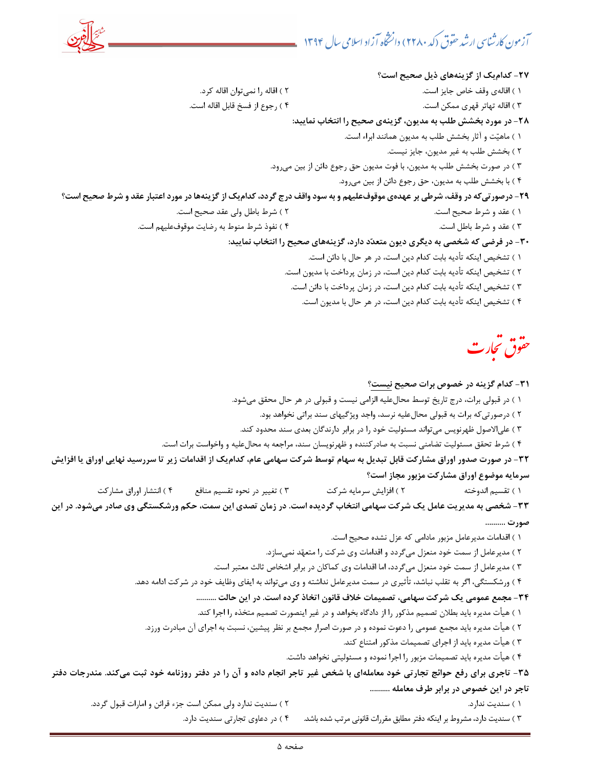-27 كداميك از گزينههاي ذيل صحيح است؟ اقاله) 1 ي وقف خاص جايز است. 2 ) اقاله را نميتوان اقاله كرد. 3 ) اقاله تهاتر قهري ممكن است. 4 ) رجوع از فسخ قابل اقاله است. -28 در مورد بخشش طلب به مديون، گزينهي صحيح را انتخاب نماييد: 1 ) ماهيت و آثار بخشش طلب به مديون همانند ابراء است. 2 ) بخشش طلب به غير مديون، جايز نيست. ۳ ) در صورت بخشش طلب به مديون، با فوت مديون حق رجوع دائن از بين مي رود. ۴ ) با بخشش طلب به مديون، حق رجوع دائن از بين مي رود. -29 درصورتيكه در وقف، شرطي بر عهدهي موقوفعليهم و به سود واقف درج گردد، كداميك از گزينهها در مورد اعتبار عقد و شرط صحيح است؟ ) 1 عقد و شرط صحيح است. ) 2 شرط باطل ولي عقد صحيح است. ) 3 عقد و شرط باطل است. 4 ) نفوذ شرط منوط به رضايت موقوفعليهم است. -30 در فرضي كه شخصي به ديگري ديون متعدد دارد، گزينههاي صحيح را انتخاب نماييد: 1 ) تشخيص اينكه تأديه بابت كدام دين است، در هر حال با دائن است. 2 ) تشخيص اينكه تأديه بابت كدام دين است، در زمان پرداخت با مديون است. 3 ) تشخيص اينكه تأديه بابت كدام دين است، در زمان پرداخت با دائن است. 4 ) تشخيص اينكه تأديه بابت كدام دين است، در هر حال با مديون است.

حقوق تجارت<br>من

#### -31 كدام گزينه در خصوص برات صحيح نيست؟

1 ) در قبولي برات، درج تاريخ توسط محالعليه الزامي نيست و قبولي در هر حال محقق ميشود.

2 ) درصورتيكه برات به قبولي محالعليه نرسد، واجد ويژگيهاي سند براتي نخواهد بود.

3 ) علي تو الاصول ظهرنويس مي اند مسئوليت خود را در برابر دارندگان بعدي سند محدود كند.

4 ) شرط تحقق مسئوليت تضامني نسبت به صادركننده و ظهرنويسان سند، مراجعه به محالعليه و واخواست برات است.

-32 در صورت صدور اوراق مشاركت قابل تبديل به سهام توسط شركت سهامي عام، كداميك از اقدامات زير تا سررسيد نهايي اوراق يا افزايش سرمايه موضوع اوراق مشاركت مزبور مجاز است؟

) 1 تقسيم اندوخته ) 2 افزايش سرمايه شركت ) 3 تغيير در نحوه تقسيم منافع ) 4 انتشار اوراق مشاركت

-33 شخصي به مديريت عامل يك شركت سهامي انتخاب گرديده است. در زمان تصدي اين سمت، حكم ورشكستگي وي صادر ميشود. در اين صورت ..........

1 ) اقدامات مديرعامل مزبور مادامي كه عزل نشده صحيح است.

2 ) مديرعامل از سمت خود منعزل ميگردد و اقدامات وي شركت را متعهد نميسازد.

3 ) مديرعامل از سمت خود منعزل ميگردد، اما اقدامات وي كماكان در برابر اشخاص ثالث معتبر است.

4 ) ورشكستگي، اگر به تقلب نباشد، تأثيري در سمت مديرعامل نداشته و وي ميتواند به ايفاي وظايف خود در شركت ادامه دهد.

-34 مجمع عمومي يك شركت سهامي، تصميمات خلاف قانون اتخاذ كرده است. در اين حالت ..........

1 ) هيأت مديره بايد بطلان تصميم مذكور را از دادگاه بخواهد و در غير اينصورت تصميم متخذه را اجرا كند.

2 ) هيأت مديره بايد مجمع عمومي را دعوت نموده و در صورت اصرار مجمع بر نظر پيشين، نسبت به اجراي آن مبادرت ورزد.

3 ) هيأت مديره بايد از اجراي تصميمات مذكور امتناع كند.

4 ) هيأت مديره بايد تصميمات مزبور را اجرا نموده و مسئوليتي نخواهد داشت.

-35 تاجري براي رفع حوائج تجارتي خود معاملهاي با شخص غير تاجر انجام داده و آن را در دفتر روزنامه خود ثبت ميكند. مندرجات دفتر تاجر در اين خصوص در برابر طرف معامله ..........

1 ) سنديت ندارد. 2 ) سنديت ندارد ولي ممكن است جزء قرائن و امارات قبول گردد.

) 3 سنديت دارد، مشروط بر اينكه دفتر مطابق مقررات قانوني مرتب شده باشد. 4 ) در دعاوي تجارتي سنديت دارد.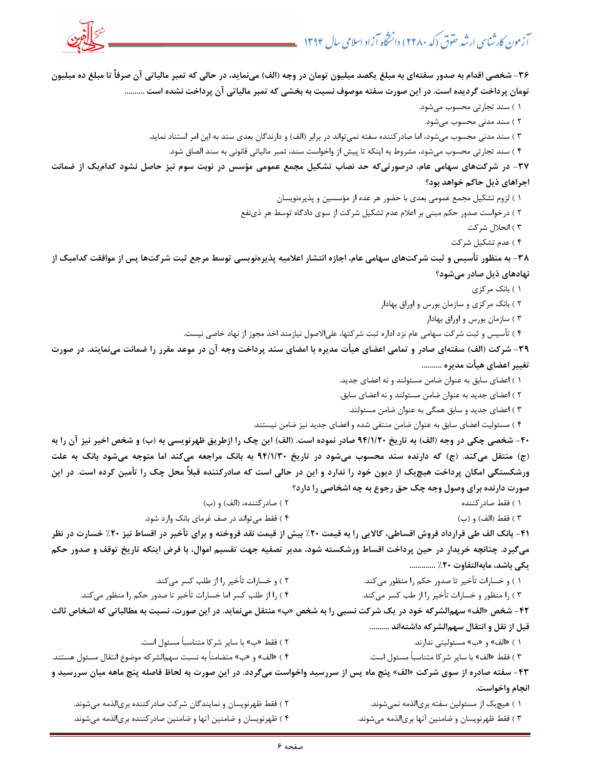

-36 شخصي اقدام به صدور سفتهاي به مبلغ يكصد ميليون تومان در وجه (الف) مينمايد، در حالي كه تمبر مالياتي آن صرفاً تا مبلغ ده ميليون تومان پرداخت گرديده است. در اين صورت سفته موصوف نسبت به بخشي كه تمبر مالياتي آن پرداخت نشده است .......... 1 ) سند تجارتي محسوب ميشود. 2 ) سند مدني محسوب ميشود. ) 3 سند مدني محسوب ميشود، اما صادركننده سفته نميتواند در برابر (الف) و دارندگان بعدي سند به اين امر استناد نمايد. 4 ) سند تجارتي محسوب ميشود، مشروط به اينكه تا پيش از واخواست سند، تمبر مالياتي قانوني به سند الصاق شود. -37 در شركتهاي سهامي عام، درصورتيكه حد نصاب تشكيل مجمع عمومي مؤسس در نوبت سوم نيز حاصل نشود كداميك از ضمانت اجراهاي ذيل حاكم خواهد بود؟ 1 ) لزوم تشكيل مجمع عمومي بعدي با حضور هر عده از مؤسسين و پذيرهنويسان 2 ) درخواست صدور نفع حكم مبني بر اعلام عدم تشكيل شركت از سوي دادگاه توسط هر ذي 3 ) انحلال شركت 4 ) عدم تشكيل شركت -38 به منظور تأسيس و ثبت شركتهاي سهامي عام، اجازه انتشار اعلاميه پذيرهنويسي توسط مرجع ثبت شركتها پس از موافقت كداميك از نهادهاي ذيل صادر ميشود؟ ) 1 بانك مركزي 2 ) بانك مركزي و سازمان بورس و اوراق بهادار 3 ) سازمان بورس و اوراق بهادار 4 ) تأسيس و ثبت شركت سهامي عام نزد اداره ثبت شركتها، عليالاصول نيازمند اخذ مجوز از نهاد خاصي نيست. -39 شركت (الف) سفتهاي صادر و تمامي اعضاي هيأت مديره با امضاي سند پرداخت وجه آن در موعد مقرر را ضمانت مينمايند. در صورت تغيير اعضاي هيأت مديره .......... 1 ) اعضاي سابق به عنوان ضامن مسئولند و نه اعضاي جديد. 2 ) اعضاي جديد به عنوان ضامن مسئولند و نه اعضاي سابق. 3 ) اعضاي جديد و سابق همگي به عنوان ضامن مسئولند. 4 ) مسئوليت اعضاي سابق به عنوان ضامن منتفي شده و اعضاي جديد نيز ضامن نيستند. -40 شخصي چكي در وجه (الف) به تاريخ 20/1/94 صادر نموده است. (الف) اين چك را ازطريق ظهرنويسي به (ب) و شخص اخير نيز آن را به (ج) منتقل ميكند. (ج) كه دارنده سند محسوب ميشود در تاريخ 30/1/94 به بانك مراجعه ميكند اما متوجه مي شود بانك به علت ورشكستگي امكان پرداخت هيچيك از ديون خود را ندارد و اين در حالي است كه صادركننده قبلاً محل چك را تأمين كرده است. در اين صورت دارنده براي وصول وجه چك حق رجوع به چه اشخاصي را دارد؟ ) 1 فقط صادركننده ) 2 صادركننده، (الف) و (ب) ) 3 فقط (الف) و (ب) 4 ) فقط ميتواند در صف غرماي بانك وارد شود. -41 بانك الف طي قرارداد فروش اقساطي، كالايي را به قيمت %20 بيش از قيمت نقد فروخته و براي تأخير در اقساط نيز %20 خسارت در نظر ميگيرد. چنانچه خريدار در حين پرداخت اقساط ورشكسته شود، مدير تصفيه جهت تقسيم اموال، با فرض اينكه تاريخ توقف و صدور حكم يكي باشد، مابهالتفاوت ٢٠٪ ............. 1 ) و خسارات تأخ كند. ير تا صدور حكم را منظور مي 2 ) و خسا كند. رات تأخير را از طلب كسر مي 3 ) را منظور و خس كند. ارات تأخير را از طب كسر مي 4 ) را از كند. طلب كسر اما خسارات تأخير تا صدور حكم را منظور مي -42 شخص «الف» سهمالشركه خود در يك شركت نسبي را به شخص » ب« منتقل مينمايد. در اين صورت، نسبت به مطالباتي كه اشخاص ثالث قبل از نقل و انتقال سهم|لشركه داشتهاند .......... » ب«و » الف«) 1 مسئوليتي ندارند. 2 ) فقط ب» ب« ا ساير شركا متناسباً مسئول است. 3 ) فقط ب» الف« ا ساير شركا متناسباً مسئول است. ) « 4 » ب«و » الف ا متضامناً به نسبت سهم لشركه موضوع انتقال مسئول هستند. -43 سفته صادره از سوي شركت «الف» پنج ماه پس از سررسيد واخواست ميگردد. در اين صورت به لحاظ فاصله پنج ماهه ميان سررسيد و انجام واخواست. 1 ) هيچيك از مسئولين سفته بريالذمه نميشوند. 2 ) فقط ظهرنويسان و نمايندگان شركت صادركننده بريالذمه ميشوند. 3 ) فقط ظهرنويسان و ضامنين آنها بريالذمه ميشوند. 4 ) ظهرنويسان و ضامنين آنها و ضامنين صادركننده بريالذمه ميشوند.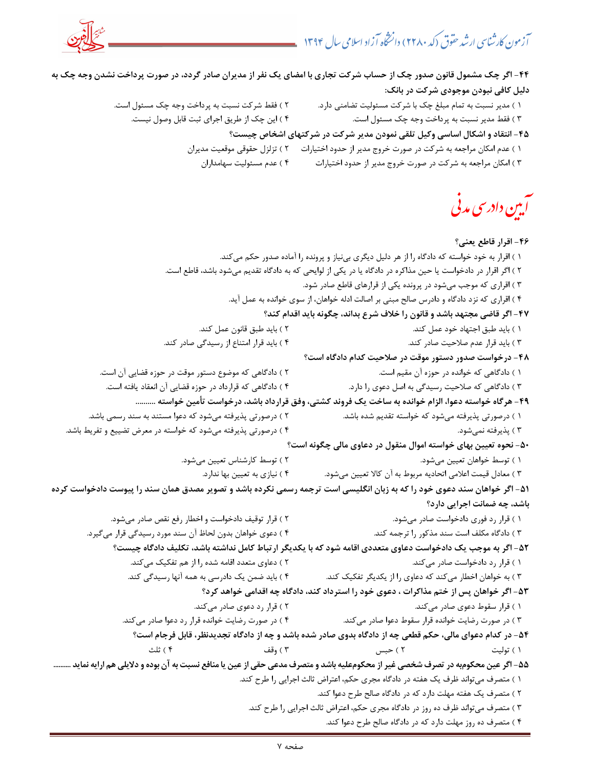

-44 اگر چك مشمول قانون صدور چك از حساب شركت تجاري با امضاي يك نفر از مديران صادر گردد، در صورت پرداخت نشدن وجه چك به دليل كافي نبودن موجودي شركت در بانك: 1 ) مدير نسبت به تمام مبلغ چك با شركت مسئوليت تضامني دارد. 2 ) فقط شركت نسبت به پرداخت وجه چك مسئول است. 3 ) فقط مدير نسبت به پرداخت وجه چك مسئول است. 4 ) اين چك از طريق اجراي ثبت قابل وصول نيست. -45 انتقاد و اشكال اساسي وكيل تلقي نمودن مدير شركت در شركتهاي اشخاص چيست؟ 1 ) عدم امكان مراجعه به شركت در صورت خروج مدير از حدود اختيارات 2 ) تزلزل حقوقي موقعيت مديران 3 ) امكان مراجعه به شركت در صورت خروج مدير از حدود اختيارات 4 ) عدم مسئوليت سهامداران آبین دادرسی مدنی -46 اقرار قاطع يعني؟ 1 ) اقرار به خود خواسته كه دادگاه را از هر دليل ديگري بي كند. نياز و پرونده را آماده صدور حكم مي 2 ) اگر اقرار در دادخواست يا حين مذاكره در دادگاه يا در يكي از لوايحي كه به دادگاه تقديم ميشود باشد، قاطع است. 3 ) اقراري كه موجب ميشود در پرونده يكي از قرارهاي قاطع صادر شود. 4 ) اقراري كه نزد دادگاه و دادرس صالح مبني بر اصالت ادله خواهان، از سوي خوانده به عمل آيد. -47 اگر قاضي مجتهد باشد و قانون را خلاف شرع بداند، چگونه بايد اقدام كند؟ ) 1 بايد طبق اجتهاد خود عمل كند. ) 2 بايد طبق قانون عمل كند. ) 3 بايد قرار عدم صلاحيت صادر كند. 4 ) بايد قرار امتناع از رسيدگي صادر كند. -48 درخواست صدور دستور موقت در صلاحيت كدام دادگاه است؟ 1 ) دادگاهي كه خوانده در حوزه آن مقيم است. 2 ) دادگاهي كه موضوع دستور موقت در حوزه قضايي آن است. 3 ) دادگاهي كه صلاحيت رسيدگي به اصل دعوي را دارد. 4 ) دادگاهي كه قرارداد در حوزه قضايي آن انعقاد يافته است. -49 هرگاه خواسته دعوا، الزام خوانده به ساخت يك فروند كشتي، وفق قرارداد باشد، درخواست تأمين خواسته .......... 1 ) درصورتي پذيرفته م يشود كه خواسته تقديم شده باشد. 2 ) درصورتي پذيرفته ميشود كه دعوا مستند به سند رسمي باشد. ) 3 پذيرفته نميشود. 4 ) درصورتي پذيرفته ميشود كه خواسته در معرض تضييع و تفريط باشد. -50 نحوه تعيين بهاي خواسته اموال منقول در دعاوي مالي چگونه است؟ ) 1 توسط خواهان تعيين ميشود. ) 2 توسط كارشناس تعيين ميشود. 3 ) معادل قيمت اعلامي اتحاديه مربوط به آن كالا تعيين ميشود. 4 ) نيازي به تعيين بها ندارد. -51 اگر خواهان سند دعوي خود را كه به زبان انگليسي است ترجمه رسمي نكرده باشد و تصوير مصدق همان سند را پيوست دادخواست كرده باشد، چه ضمانت اجرايي دارد؟ 1 ) قرار رد فوري دادخواست صادر ميشود. 2 ) قرار توقيف دادخواست و اخطار رفع نقص صادر ميشود. 3 ) دادگاه مكلف است سند مذكور را ترجمه كند. 4 ) دعوي خواهان بدون لحاظ آن سند مورد رسيدگي قرار ميگيرد. -52 اگر به موجب يك دادخواست دعاوي متعددي اقامه شود كه با يكديگر ارتباط كامل نداشته باشد، تكليف دادگاه چيست؟ 1 كند. ) قرار رد دادخواست صادر مي 2 كند. ) دعاوي متعدد اقامه شده را از هم تفكيك مي 3 ) به خواهان اخطار ميكند كه دعاوي را از يكديگر تفكيك كند. 4 ) بايد ضمن يك دادرسي به همه آنها رسيدگي كند. -53 اگر خواهان پس از ختم مذاكرات ، دعوي خود را استرداد كند، دادگاه چه اقدامي خواهد كرد؟ 1 كند. ) قرار سقوط دعوي صادر مي 2 كند. ) قرار رد دعوي صادر مي 3 كند. ) در صورت رضايت خوانده قرار سقوط دعوا صادر مي 4 ) در صورت رضايت خوانده قرار رد دعوا صادر ميكند. -54 در كدام دعواي مالي، حكم قطعي چه از دادگاه بدوي صادر شده باشد و چه از دادگاه تجديدنظر، قابل فرجام است؟ ) 1 توليت ) 2 حبس وقف ) 3 ثلث ) 4 -55 اگر عين محكومبه در تصرف شخصي غير از محكومعليه باشد و متصرف مدعي حقي از عين يا منافع نسبت به آن بوده و دلايلي هم ارايه نمايد .......... 1 ) متصرف ميتواند ظرف يك هفته در دادگاه مجري حكم، اعتراض ثالث اجرايي را طرح كند. 2 ) متصرف يك هفته مهلت دارد كه در دادگاه صالح طرح دعوا كند. 3 ) متصرف ميتواند ظرف ده روز در دادگاه مجري حكم، اعتراض ثالث اجرايي را طرح كند. 4 ) متصرف ده روز مهلت دارد كه در دادگاه صالح طرح دعوا كند.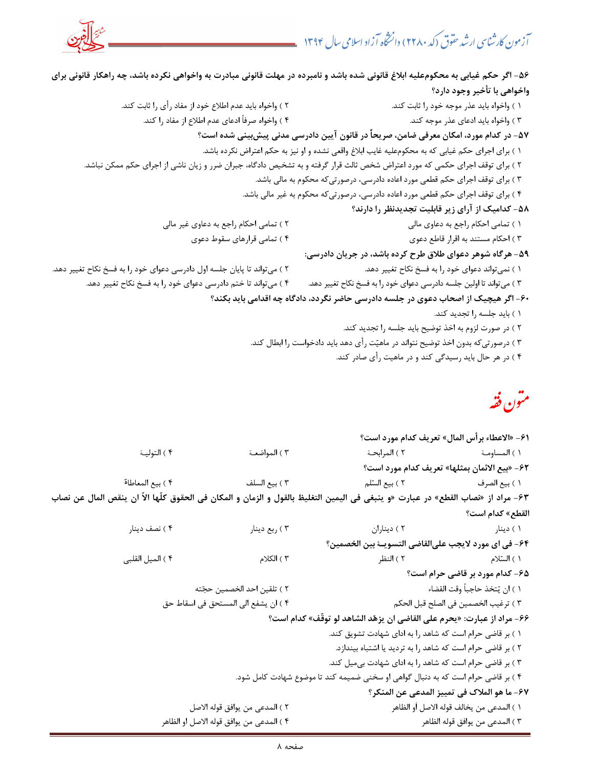

-56 اگر حكم غيابي به محكومعليه ابلاغ قانوني شده باشد و نامبرده در مهلت قانوني مبادرت به واخواهي نكرده باشد، چه راهكار قانوني براي واخواهي با تأخير وجود دارد؟ 1 ) واخواه بايد عذر موجه خود را ثابت كند. 2 ) واخواه بايد عدم اطلاع خود از مفاد رأي را ثابت كند. 3 ) واخواه بايد ادعاي عذر موجه كند. 4 ) واخواه صرفاً ادعاي عدم اطلاع از مفاد را كند. -57 در كدام مورد، امكان معرفي ضامن، صريحاً در قانون آيين دادرسي مدني پيشبيني شده است؟ 1 ) براي اجراي حكم غيابي كه به محكومعليه غايب ابلاغ واقعي نشده و او نيز به حكم اعتراض نكرده باشد. 2 ) براي توقف اجراي حكمي كه مورد اعتراض شخص ثالث قرار گرفته و به تشخيص دادگاه، جبران ضرر و زيان ناشي از اجراي حكم ممكن نباشد. 3 ) براي توقف اجراي حكم قطعي مورد اعاده دادرسي، درصورتيكه محكوم به مالي باشد. 4 ) براي توقف اجراي حكم قطعي مورد اعاده دادرسي، درص ورتيكه محكوم به غير مالي باشد. -58 كداميك از آراي زير قابليت تجديدنظر را دارند؟ ) 1 تمامي احكام راجع به دعاوي مالي 2 ) تمامي احكام راجع به دعاوي غير مالي 3 ) احكام مستند به اقرار قاطع دعوي ) 4 تمامي قرارهاي سقوط دعوي -59 هرگاه شوهر دعواي طلاق طرح كرده باشد، در جريان دادرسي: 1 ) نميتواند دعواي خود را به فسخ نكاح تغيير دهد. 2 ) ميتواند تا پايان جلسه اول دادرسي دعواي خود را به فسخ نكاح تغيير دهد. مي) 3 تواند تا اولين جلسه دادرسي دعواي خود را به فسخ نكاح تغيير دهد. 4 ) ميتواند تا ختم دادرسي دعواي خود را به فسخ نكاح تغيير دهد. -60 اگر هيچيك از اصحاب دعوي در جلسه دادرسي حاضر نگردد، دادگاه چه اقدامي بايد بكند؟ 1 ) بايد جلسه را تجديد كند. 2 ) در صورت لزوم به اخذ توضيح بايد جلسه را تجديد كند. 3 ) درصورتيكه بدون اخذ توضيح نتواند در ماهيت رأي دهد بايد دادخواست را ابطال كند. 4 ) در هر حال بايد رسيدگي كند و در ماهيت رأي صادر كند. متون فقه -61 « الاعطاء برأس المال» تعريف كدام مورد است؟ 1 ) المساومـة 2 ) المرابحـة 3 ) المواضعـة 4 ) التوليـة -62 « بيع الائمان بمثلها» تعريف كدام مورد است؟ ) 1 بيع الصرف 2 ) بيع السلم ) 3 بيع السلف 4 ) بيع المعاطاة -63 مراد از ن« صاب القطع» در عبارت «و ينبغي في اليمين التغليظ بالقول و الزمان و المكان في الحقوق كلّها الاّ ان ينقص المال عن نصاب القطع» كدام است؟ ) 1 دينار ) 2 ديناران ) 3 ربع دينار ) 4 نصف دينار -64 في اي مورد لايجب عليالقاضي التسويـة بين الخصمين؟ 1 ) السلام ) 2 النظر ) 3 الكلام ) 4 الميل القلبي -65 كدام مورد بر قاضي حرام است؟ 1 ) ان يتخذ حاجب اً وقت القضاء 2 ) تلقين احد الخصمين حجته 3 ) ترغيب الخصمين في الصلح قبل الحكم ) 4 ان يشفع الي المستحق في اسقاط حق -66 مراد از عبارت: «يحرم علي القاضي ان يزهد الشاهد لو توقّ » ف كدام است؟ 1 ) بر قاضي حرام است كه شاهد را به اداي شهادت تشويق كند. 2 ) بر قاضي حرام است كه شاهد را به ترديد يا اشتباه بيندازد. 3 ) بر قاضي حرام است كه شاهد را به اداي شهادت بيميل كند. 4 ) بر قاضي حرام است كه به دنبال گواهي او سخني ضميمه كند تا موضوع شهادت كامل شود. -67 ما هو الملاك في تمييز المدعي عن المنكر؟

 1 ) المدعي من يخالف قوله الاصل اَو الظاهر ) 2 المدعي من يوافق قوله الاصل 3 ) المدعي من يوافق قوله الظاهر 4 ) المدعي من يوافق قوله الاصل او الظاهر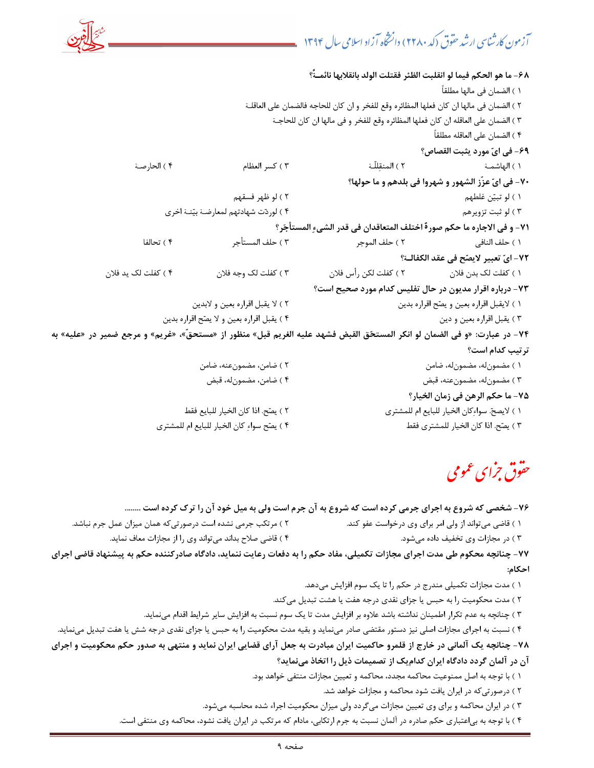|                                                                                                                            |                                            | 6٨− ما هو الحكم فيما لو انقلبت الظئر فقتلت الولد بانقلابها نائمــَّ؟                     |                                                     |
|----------------------------------------------------------------------------------------------------------------------------|--------------------------------------------|------------------------------------------------------------------------------------------|-----------------------------------------------------|
|                                                                                                                            |                                            |                                                                                          | ١ ) الضمان في مالها مطلقاً                          |
|                                                                                                                            |                                            | ٢ ) الضمان في مالها ان كان فعلها المظائره وقع للفخر و ان كان للحاجه فالضمان على العاقلـة |                                                     |
|                                                                                                                            |                                            | ٣ ) الضمان على العاقله ان كان فعلها المظائره وقع للفخر و في مالها ان كان للحاجـة         |                                                     |
|                                                                                                                            |                                            |                                                                                          | ۴ ) الضمان على العاقله مطلقاً                       |
|                                                                                                                            |                                            |                                                                                          | ۶۹- في ايّ مورد يثبت القصاص؟                        |
| ۴ ) الحارصة                                                                                                                | ۳ ) کسر العظام                             |                                                                                          |                                                     |
|                                                                                                                            |                                            |                                                                                          | ۷۰- في ايّ عزّز الشهور و شهروا في بلدهم و ما حولها؟ |
|                                                                                                                            | ۲ ) لو ظهر فسقهم                           |                                                                                          | ۱ ) لو تبیّن غلطهم                                  |
|                                                                                                                            | ۴ ) لوردّت شهادتهم لمعارضة بيّنـة اخرى     |                                                                                          | ۳ ) لو ثبت تزويرهم                                  |
|                                                                                                                            |                                            | ٧١- و في الاجاره ما حكم صورة اختلف المتعاقدان في قدر الشيءِ المستأجَر؟                   |                                                     |
| ۴ ) تحالفا                                                                                                                 | ٣ ) حلف المستأجر                           |                                                                                          |                                                     |
|                                                                                                                            |                                            |                                                                                          | ٧٢– ايّ تعبير لايصّح في عقد الكفالــة؟              |
| ۴ ) كفلت لک يد فلان                                                                                                        | ٣ ) كفلت لك وجه فلان                       | ١ ) كفلت لك بدن فلان                   ٢ ) كفلت لكن رأس فلان                             |                                                     |
|                                                                                                                            |                                            | ۷۳- درباره اقرار مدیون در حال تفلیس کدام مورد صحیح است؟                                  |                                                     |
|                                                                                                                            | ٢ ) لا يقبل اقراره بعين و لابدين           |                                                                                          | ١ ) لايقبل اقراره بعين و يصّح اقراره بدين           |
|                                                                                                                            | ۴ ) يقبل اقراره بعين و لا يصّح اقراره بدين |                                                                                          | ۳ ) يقبل اقراره بعين و دين                          |
| ۷۴- در عبارت: «و في الضمان لو انكر المستحّق القبض فشهد عليه الغريم قبل» منظور از «مستحقّ»، «غريم» و مرجع ضمير در «عليه» به |                                            |                                                                                          |                                                     |
|                                                                                                                            |                                            |                                                                                          | ترتيب كدام است؟                                     |
|                                                                                                                            | ٢ ) ضامن، مضمونعنه، ضامن                   |                                                                                          | ١ ) مضمونله، مضمونله، ضامن                          |
|                                                                                                                            | ۴) ضامن، مضمونله، قبض                      |                                                                                          | ۳ ) مضمونله، مضمونعنه، قبض                          |

| ۱ ) صامن، مصمون۵۵، قبض                      | ۱ ) مصمون۵۵، مصمونعته، فبص                    |
|---------------------------------------------|-----------------------------------------------|
|                                             | ٧۵- ما حكم الرهن في زمان الخيار؟              |
| ٢ ) يصّح. اذا كان الخيار للبايع فقط         | ١ ) لايصحّ. سواءِكان الخيار للبايع ام للمشترى |
| ۴ ) يصّح سواءِ كان الخيار للبايع ام للمشترى | ٣ ) يصّح. اذا كان الخيار للمشترى فقط          |

# حقوق جرای عمومی

۷۶- شخصي كه شروع به اجراي جرمي كرده است كه شروع به آن جرم است ولي به ميل خود آن را ترك كرده است ........

- 1 ) قاضي ميتواند از ولي امر براي وي درخواست عفو كند. 2 ) مرتكب جرمي نشده است درصور تيكه همان ميزان عمل جرم نباشد.
	- ) د 3 ر مجازات وي تخفيف داد ه ميشود. 4 تو ) قاضي صلاح بداند مي اند وي را از مجازات معاف نمايد.

-77 چنانچه محكوم طي مدت اجراي مجازات تكميلي، مفاد حكم را به دفعات رعايت ننمايد، دادگاه صادركننده حكم به پيشنهاد قاضي اجراي احكام:

- 1 ) مدت مجازات تكميلي مندرج در حكم را تا يك سوم افزايش ميدهد.
- ٢ ) مدت محكوميت را به حبس يا جزاي نقدي درجه هفت يا هشت تبديل مي كند.
- 3 ) چنانچه به عدم تكرار اطمينان نداشته باشد علاوه بر افزايش مدت تا يك سوم نسبت به افزايش ساير شرايط اقدام مينمايد.

4 ) نسبت به اجراي مجازات اصلي نيز دستور مقتضي صادر مينمايد و بقيه مدت محكوميت را به حبس يا جزاي نقدي درجه شش يا هفت تبديل مينمايد.

-78 چنانچه يك آلماني در خارج از قلمرو حاكميت ايران مبادرت به جعل آراي قضايي ايران نمايد و منتهي به صدور حكم محكوميت و اجراي آن در آلمان گردد دادگاه ايران كداميك از تصميمات ذيل را اتخاذ مينمايد؟

- 1 ) با توجه به اصل ممنوعيت محاكمه مجدد، محاكمه و تعيين مجازات منتفي خواهد بود.
	- 2 ) درصورتيكه در ايران يافت شود محاكمه و مجازات خواهد شد.
- 3 ) در ايران محاكمه و براي وي تعيين مجازات ميگردد ولي ميزان محكوميت اجراء شده محاسبه ميشود.
- 4 ) با توجه به بياعتباري حكم صادره در آلمان نسبت به جرم ارتكابي، مادام كه مرتكب در ايران يافت نشود، محاكمه وي منتفي است.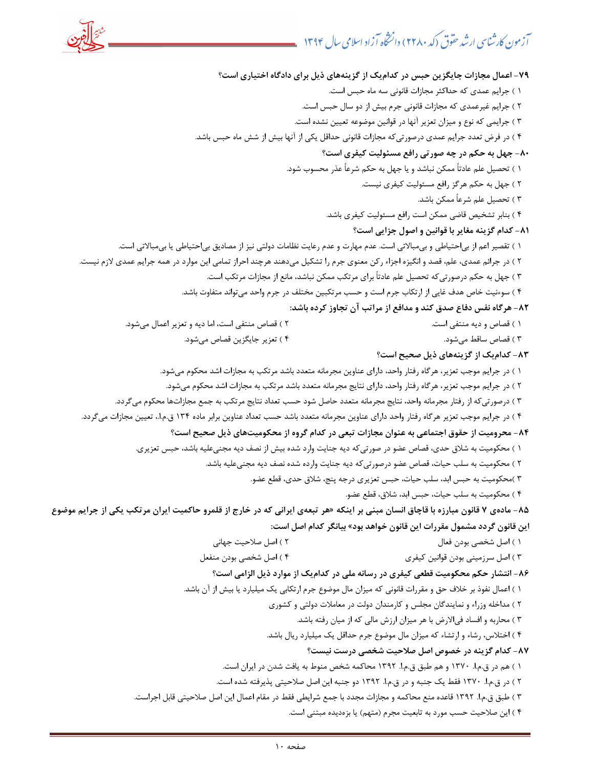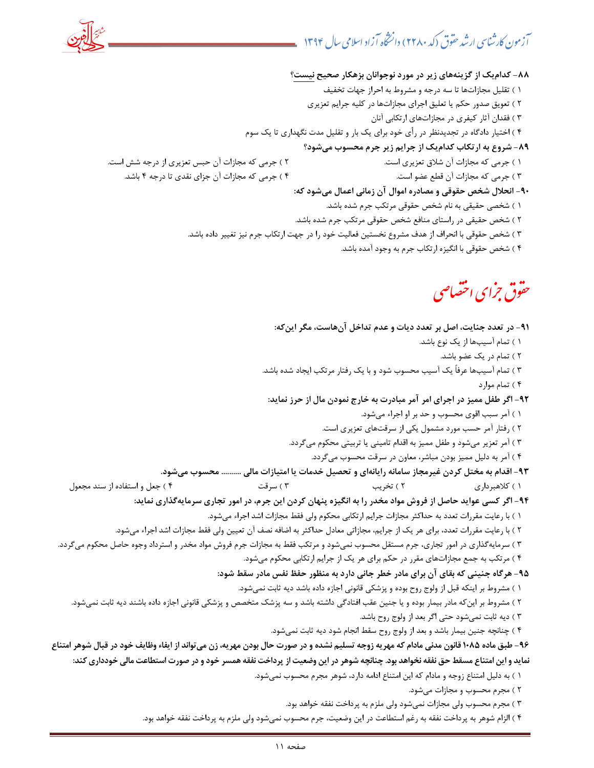-88 كداميك از گزينههاي زير در مورد نوجوانان بزهكار صحيح نيست؟ 1 ) تقليل مجازاتها تا سه درجه و مشروط به احراز جهات تخفيف 2 ) تعويق صدور حكم يا تعليق اجراي مجازاتها در كليه جرايم تعزيري 3 ) فقدان آثار كيفري در مجازاتهاي ارتكابي آنان 4 ) اختيار دادگاه در تجديدنظر در رأي خود براي يك بار و تقليل مدت نگهداري تا يك سوم -89 شروع به ارتكاب كداميك از جرايم زير جرم محسوب ميشود؟ 1 ) جرمي كه مجازات آن شلاق تعزيري است. 2 ) جرمي كه مجازات آن حبس تعزيري از درجه شش است. ) 3 جرمي كه مجازات آن قطع عضو است. 4 ) جرمي كه مجازات آن جزاي نقدي تا درجه 4 باشد. -90 انحلال شخص حقوقي و مصادره اموال آن زماني اعمال ميشود كه: 1 ) شخصي حقيقي به نام شخص حقوقي مرتكب جرم شده باشد. 2 ) شخص حقيقي در راستاي منافع شخص حقوقي مرتكب جرم شده باشد. 3 ) شخص حقوقي با انحراف از هدف مشروع نخستين فعاليت خود را در جهت ارتكاب جرم نيز تغيير داده باشد. 4 ) شخص حقوقي با انگيزه ارتكاب جرم به وجود آمده باشد. حقوق جزاى اختصاصى

۹۱- در تعدد جنايت، اصل بر تعدد ديات و عدم تداخل آنهاست، مگر اين كه: 1 ) تمام آسيبها از يك نوع باشد. 2 ) تمام در يك عضو باشد. 3 ) تمام آسيبها عرفاً يك آسيب محسوب شود و با يك رفتار مرتكب ايجاد شده باشد. 4 ) تمام موارد -92 اگر طفل مميز در اجراي امر آمر مبادرت به خارج نمودن مال از حرز نمايد: 1 ) آمر سبب اقوي محسوب و حد بر او اجراء ميشود. 2 ) رفتار آمر حسب مورد مشمول يكي از سرقتهاي تعزيري است. 3 ) آمر تعزير ميشود و طفل مميز به اقدام تاميني يا تربيتي محكوم ميگردد. 4 ) آمر به دليل مميز بودن مباشر، معاون در سرقت محسوب ميگردد. -93 اقدام به مختل كردن غيرمجاز سامانه رايانهاي و تحصيل خدمات يا امتيازات مالي .......... محسوب ميشود. ) 1 كلاهبرداري ) 2 تخريب ) 3 سرقت ) 4 جعل و استفاده از سند مجعول -94 اگر كسي عوايد حاصل از فروش مواد مخدر را به انگيزه پنهان كردن اين جرم، در امور تجاري س رمايهگذاري نمايد: 1 ) با رعايت مقررات تعدد به حداكثر مجازات جرايم ارتكابي محكوم ولي فقط مجازات اشد اجراء ميشود. 2 ) با رعايت مقررات تعدد، براي هر يك از جرايم، مجازاتي معادل حداكثر به اضافه نصف آن تعيين ولي فقط مجازات اشد اجراء ميشود. 3 ) سرمايهگذاري در امور تجاري، جرم مستقل محسوب نميشود و مرتكب فقط به مجازات جرم فروش مواد مخدر و استرداد وجوه حاصل محكوم ميگردد. 4 ) مرتكب به جمع مجازاتهاي مقرر در حكم براي هر يك از جرايم ارتكابي محكوم ميشود. -95 هرگاه جنيني كه بقاي آن براي مادر خطر جاني دار د به منظور حفظ نفس مادر سقط شود: 1 ) مشروط بر اينكه قبل از ولوج روح بوده و پزشكي قانوني اجازه داده باشد ديه ثابت نميشود. ٢ ) مشروط بر اينكه مادر بيمار بوده و يا جنين عقب افتادگي داشته باشد و سه پزشك متخصص و پزشكي قانوني اجازه داده باشند ديه ثابت نميشود. 3 شو ) ديه ثابت نمي د حتي اگر بعد از ولوج روح باشد. 4 ) چنانچه جنين بيمار باشد و بعد از ولوج روح سقط انجام شود ديه ثابت نميشود. -96 طبق ماده 1085قانون مدني مادام كه مهريه زوجه تسليم نشده و در صورت حال بودن مهريه، زن ميتواند از ايفاء وظايف خود در قبال شوهر امتناع نمايد و اين امتناع مسقط حق نفقه نخواهد بود. چنانچه شوهر در اين وضعيت از پرداخت نفقه همسر خود و در صورت استطاعت مالي خودداري كند: 1 ) به دليل امتناع زوجه و مادام كه اين امتناع ادامه دارد، شوهر مجرم محسوب نميشود. ) 2 مجرم محسوب و مجازات ميشود. 3 ) مجرم محسوب ولي مجازات نميشود ولي ملزم به پرداخت نفقه خواهد بود. 4 ) الزام شوهر به پرداخت نفقه به رغم استطاعت در اين وضعيت، جرم محسوب نميشود ولي ملزم به پرداخت نفقه خواهد بود.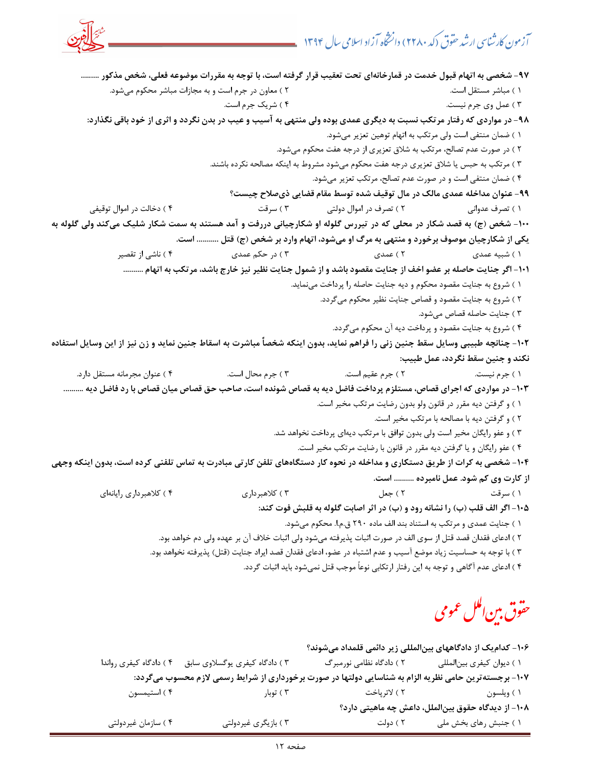

-97 شخصي به اتهام قبول خدمت در قمارخانهاي تحت تعقيب قرار گرفته است، با توجه به مقررات موضوعه فعلي، شخص مذكور ......... 1 ) مباشر مستقل است. 2 ) معاون در جرم است و به مجازات مباشر محكوم ميشود. 3 ) عمل وي جرم نيست. 4 ) شريك جرم است. -98 در مواردي كه رفتار مرتكب نسبت به ديگري عمدي بوده ولي منتهي به آسيب و عيب در بدن نگردد و اثري از خود باقي نگذارد: 1 ) ضمان منتفي است ولي مرتكب به اتهام توهين تعزير ميشود. 2 ) در صورت عدم تصالح، مرتكب به شلاق تعزيري از درجه هفت محكوم ميشود. 3 ) مرتكب به حبس يا شلاق تعزيري درجه هفت محكوم ميشود مشروط به اينكه مصالحه نكرده باشند. 4 ) ضمان منتفي است و در صورت عدم تصالح، مرتكب تعزير ميشود. -99 عنوان مداخله عمدي مالك در مال توقيف شده توسط مقام قضايي ذيصلاح چيست؟ ) 1 تصرف عدواني 2 ) تصرف در اموال دولتي 3 ) سرقت 4 ) دخالت در اموال توقيفي -100 شخص (ج) به قصد شكار در محلي كه در تيررس گلوله او شكارچياني دررفت و آمد هستند به سمت شكار شليك ميكند ولي گلوله به يكي از شكارچيان موصوف برخورد و منتهي به مرگ او ميشود، اتهام وارد بر شخص (ج) قتل ........... است. 1 ) شبيه عمدي 2 ) عمدي 3 ) در حكم عمدي 4 ) ناشي از تقصير -101 اگر جنايت حاصله بر عضو اخف از جنايت مقصود باشد و از شمول جنايت نظير نيز خارج باشد، مرتكب به اتهام .......... 1 ) شروع به جنايت مقصود محكوم و ديه جنايت حاصله را پرداخت مينمايد. 2 ) شروع به جنايت مقصود و قصاص جنايت نظير محكوم ميگردد. ) 3 جنايت حاصله قصاص ميشود. 4 ) شروع به جنايت مقصود و پرداخت ديه آن محكوم ميگردد. -102 چنانچه طبيبي وسايل سقط جنين زني را فراهم نمايد، بدون اينكه شخصاً مباشرت به اسقاط جنين نمايد و زن نيز از اين وسايل استفاده نكند و جنين سقط نگردد، عمل طبيب: 1 ) جرم نيست. 2 ) جرم عقيم است. 3 ) جرم محال است. 4 ) عنوان مجرمانه مستقل دارد. -103 در مواردي كه اجراي قصاص، مستلزم پرداخت فاضل ديه به قصاص شونده است، صاحب حق قصاص ميان قصاص با رد فاضل ديه .......... 1 ) و گرفتن ديه مقرر در قانون ولو بدون رضايت مرتكب مخير است. 2 ) و گرفتن ديه با مصالحه با مرتكب مخير است. 3 ) و عفو رايگان مخير است ولي بدون توافق با مرتكب ديهاي پرداخت نخواهد شد. 4 ) عفو رايگان و يا گرفتن ديه مقرر در قانون با رضايت مرتكب مخير است. -104 شخصي به كرات از طريق دستكاري و مداخله در نحوه كار دستگاههاي تلفن كارتي مبادرت به تماس تلفني كرده است، بدون اينكه وجهي از كارت وي كم شود. عمل نامبرده .......... است. 1 ) سرقت 2 ) جعل 3 ) كلاهبرداري 4 ) كلاهبردا اي ري رايانه -105 اگر الف قلب (ب) را نشانه رود و (ب) در اثر اصابت گلوله به قلبش فوت كند: 1 ) جنايت عمدي و مرتكب به استناد بند الف ماده 290 ق.م.ا. محكوم ميشود. 2 ) ادعاي فقدان قصد قتل از سوي الف در صورت اثبات پذيرفته ميشود ولي اثبات خلاف آن بر عهده ولي دم خواهد بود. ) 3 با توجه به حساسيت زياد موضع آسيب و عدم اشتباه در عضو، ادعاي فقدان قصد ايراد جنايت (قتل) پذيرفته نخواهد بود. 4 ) ادعاي عدم آگاهي و توجه به اين رفتار ارتكابي نوعاً موجب قتل نميشود بايد اثبات گردد.

# حقوق بين ال<sub>عمل</sub> عمومي

|                        |                                                                                                        |                          | ۱۰۶– کدام یک از دادگاههای بینالمللی زیر دائمی قلمداد میشوند؟ |
|------------------------|--------------------------------------------------------------------------------------------------------|--------------------------|--------------------------------------------------------------|
| ۴) دادگاه کیفری رواندا | ۳) دادگاه کیفری یوگسلاوی سابق                                                                          | ۲ ) دادگاه نظامی نورمبرگ | ۱ ) دیوان کیفری بین لمللی                                    |
|                        | ۱۰۷- برجسته ترین حامی نظریه الزام به شناسایی دولتها در صورت برخورداری از شرایط رسمی لازم محسوب میگردد: |                          |                                                              |
| ۴ ) استيمسون           | ۲ ) توبار                                                                                              | ۲ ) لاترپاخت             | ۱ ) ويلسون                                                   |
|                        |                                                                                                        |                          | ۱۰۸– از دیدگاه حقوق بینالملل، داعش چه ماهیتی دارد؟           |
| ۴) سازمان غیردولتی     | ۴) بازیگری غیردولتی                                                                                    | ۲ ) دولت                 | ۱ ) جنبش رهای بخش ملی                                        |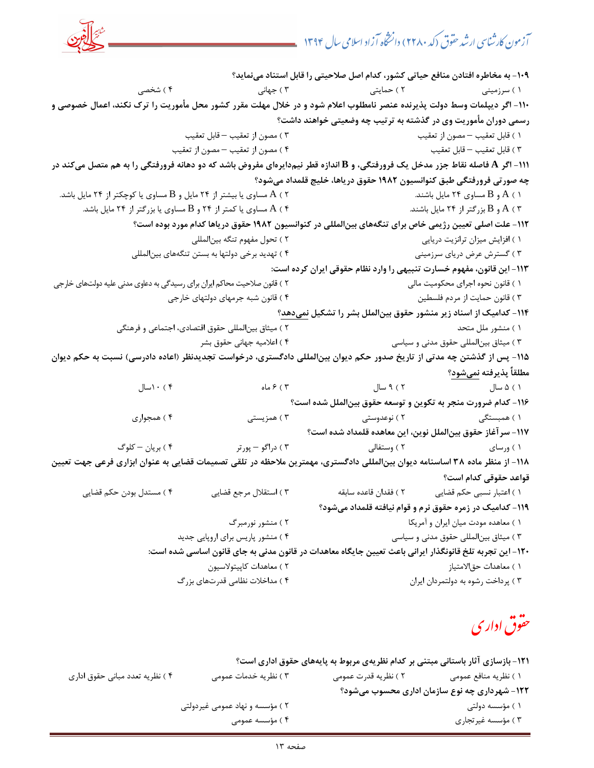-109 به مخاطره افتادن منافع حياتي كشور، كدام اصل صلاحيتي را قابل استناد مينمايد؟ ) 1 سرزميني ) 2 حمايتي ) 3 جهاني ) 4 شخصي -110 اگر ديپلمات وسط دولت پذيرنده عنصر نامطلوب اعلام شود و در خلال مهلت مقرر كشور محل مأموريت را ترك نكند، اعمال خصوصي و رسمي دوران مأموريت وي در گذشته به ترتيب چه وضعيتي خواهند داشت؟ 1 ) قابل تعقيب – مصون از تعقيب 3 ) مصون از تعقيب – قابل تعقيب 3 ) قابل تعقيب – قابل تعقيب 4 ) مصون از تعقيب – مصون از تعقيب -111 اگر **A** فاصله نقاط جزر مدخل يك فرورفتگي، و **B** اندازه قطر نيم دايرهاي مفروض باشد كه دو دهانه فرورفتگي را به هم متصل ميكند در چه صورتي فرورفتگي طبق كنوانسيون ١٩٨٢ حقوق درياها، خليج قلمداد ميشود؟ ) 1 A و B مساوي 24 مايل باشند. ) 2 A مساوي يا بيشتر از 24 مايل و B مساوي يا كوچكتر 24از مايل باشد. ) 3 A و B بزرگتر از 24 مايل باشند. ) 4 A مساوي يا كمتر و 24از B مساوي يا بزرگتر از 24 مايل باشد. -112 علت اصلي تعيين رژيمي خاص براي تنگههاي بينالمللي در كنوانسيون 1982 حقوق درياها كدام مورد بوده است؟ 1 ) افزايش ميزان ترانزيت دريايي ) 2 تحول مفهوم تنگه بينالمللي 3 ) گسترش عرض درياي سرزميني 4 ) تهديد برخي دولتها به بستن تنگههاي بينالمللي -113 اين قانون، مفهوم خسارت تنبيهي را وارد نظام حقوقي ايران كرده است: ) 1 قانون نحوه اجراي محكوميت مالي ) 2 قانون صلاحيت محاكم ايران براي رسيدگي به دعاوي مدني عليه دولتهاي خارجي 3 ) قانون حمايت از مردم فلسطين ) 4 قانون شبه جرمهاي دولتهاي خارجي -114 كداميك از اسناد زير منشور حقوق بينالملل بشر را تشكيل نمي ؟دهد ) 1 منشور ملل متحد 2 ) ميثاق بينالمللي حقوق اقتصادي، اجتماعي و فرهنگي 3 ) ميثاق بينالمللي حقوق مدني و سياسي ) 4 اعلاميه جهاني حقوق بشر -115 پس از گذشتن چه مدتي از تاريخ صدور حكم ديوان بينالمللي دادگستري، درخواست تجديدنظر (اعاده دادرسي) نسبت به حكم ديوان مطلقاً پذيرفته نميشود؟ سال 5) 1 سال 9 ) 2 ماه 6 ) 3 10 ) 4 سال -116 كدام ضرورت منجر به تكوين و توسعه حقوق بينالملل شده است؟ ) 1 همبستگي 2 ) نوعدوستي ) 3 همزيستي ) 4 همجواري -117 سرآغاز حقوق بينالملل نوين، اين معاهده قلمداد شده است؟ ) 1 ورساي ) 2 وستفالي 3 ) دراگو – پورتر 4 ) بريان – كلوگ -118 از منظر ماده 38 اساسنامه ديوان بينالمللي دادگستري، مهمترين ملاحظه در تلقي تصميمات قضايي به عنوان ابزاري فرعي جهت تعيين قواعد حقوقي كدام است؟ ) 1 اعتبار نسبي حكم قضايي 2 ) فقدان قاعده سابقه 3 ) استقلال مرجع قضايي ) 4 مستدل بودن حكم قضايي -119 كداميك در زمره حقوق نرم و قوام نيافته قلمداد ميشود؟ ) 1 معاهده مودت ميان ايران و آمريكا ) 2 منشور نورمبرگ 3 ) ميثاق بينالمللي حقوق مدني و سياسي 4 ) منشور پاريس براي اروپايي جديد -120 اين تجربه تلخ قانونگذار ايراني باعث تعيين جايگاه معاهدات در قانون مدني به جاي قانون اساسي شده است: ) 1 معاهدات حقالامتياز 2 ) معاهدات كاپيتولاسيون 3 ) پرداخت رشوه به دولتمردان ايران 4 ) مداخلات نظامي قدرتهاي بزرگ

# حقوق اداری

-121 بازسازي آثار باستاني مبتني بر كدام نظريهي مربوط به پايههاي حقوق اداري است؟ 1 ) نظريه منافع عمومي ) ن 2 ظريه قدرت عمومي 3 ) نظريه خدمات عمومي 4 ) نظريه تعدد مباني حقوق اداري -122 شهرداري چه نوع سازمان اداري محسوب ميشود؟ 1 ) مؤسسه دولتي 2 ) مؤسسه و نهاد عمومي غيردولتي 3 ) مؤسسه غيرتجاري 4 ) مؤسسه عمومي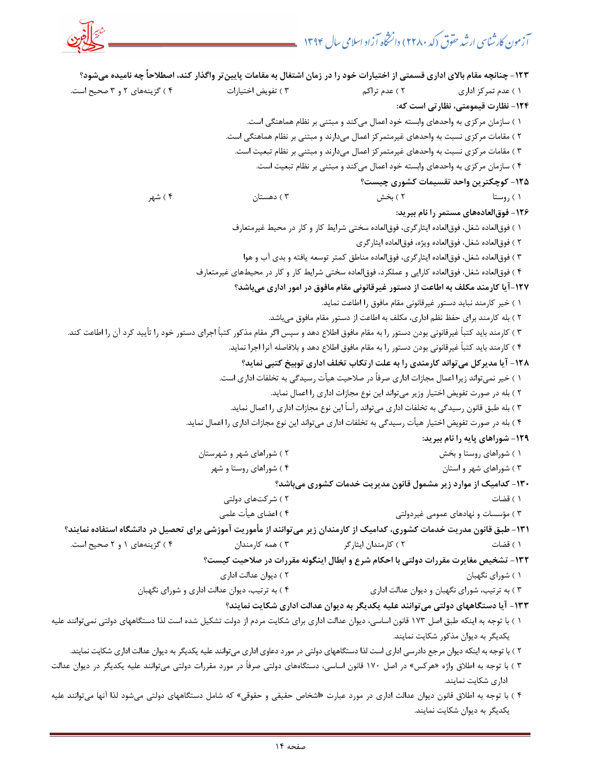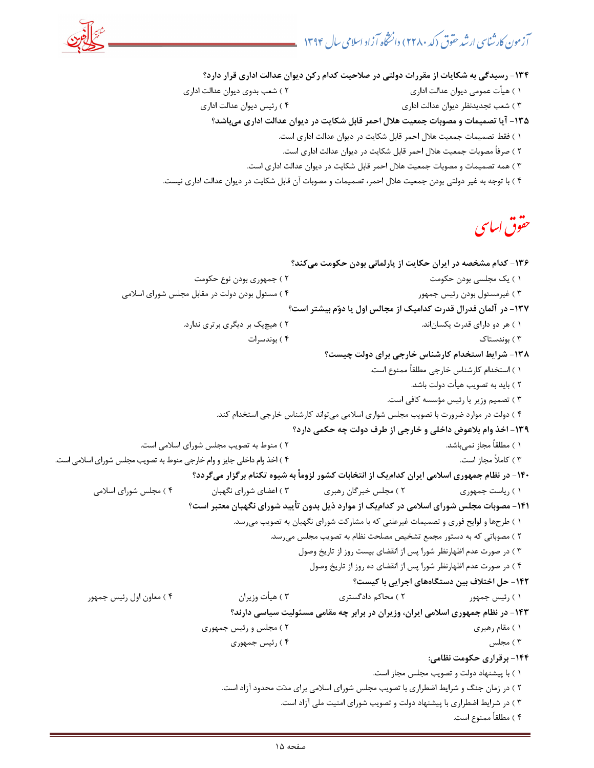

-134 رسيدگي به شكايات از مقررات دولتي در صلاحيت كدام ركن ديوان عدالت اداري قرار دارد؟

- 1 ) هيأت عمومي ديوان عدالت اداري 2 ) شعب بدوي ديوان عدالت اداري
	- ) 3 شعب تجديدنظر ديوان عدالت اداري 4 ) رئيس ديوان عدالت اداري

-135 آيا تصميمات و مصوبات جمعيت هلال احمر قابل شكايت در ديوان عدالت اداري ميباشد؟

- 1 ) فقط تصميمات جمعيت هلال احمر قابل شكايت در ديوان عدالت اداري است.
- 2 ) صرفاً مصوبات جمعيت هلال احمر قابل شكايت در ديوان عدالت اداري است.
- 3 ) همه تصميمات و مصوبات جمعيت هلال احمر قابل شكايت در ديوان عدالت اداري است.
- 4 ) با توجه به غير دولتي بودن جمعيت هلال احمر، تصميمات و مصوبات آن قابل شكايت در ديوان عدالت اداري نيست.

# حقوق ا*س*اسی

```
-136 كدام مشخصه در ايران حكايت از پارلماني بودن حكومت ميكند؟ 
                                1 ) يك مجلسي بودن حكومت 2 ) جمهوري بودن نوع حكومت 
               3 ) غيرمسئول بودن رئيس جمهور 4 ) مسئول بودن دولت در مقابل مجلس شوراي اسلامي 
                                                    -137 در آلمان فدرال قدرت كداميك از مجالس اول يا دوم بيشتر است؟ 
                             1 اند. ) هر دو داراي قدرت يكسان 2 ) هيچيك بر ديگري برتري ندارد. 
                                            3 ) بوندستاك 4 ) بوندسرات 
                                                             -138 شرايط استخدام كارشناس خارجي براي دولت چيست؟ 
                                                                        1 ) استخدام كارشناس خارجي مطلقاً ممنوع است. 
                                                                                  2 ) بايد به تصويب هيأت دولت باشد. 
                                                                            3 ) تصميم وزير يا رئيس مؤسسه كافي است. 
                                     4 ت ) دولت در موارد ضرورت با تصويب مجلس شواري اسلامي مي واند كارشناس خارجي استخدام كند. 
                                                     -139 اخذ وام بلاعوض داخلي و خارجي از طرف دولت چه حكمي دارد؟ 
                   1 ) مطلقاً مجاز نميباشد. 2 ) منوط به تصويب مجلس شوراي اسلامي است. 
3 ) كاملاً مجاز است. ) 4 اخذ وام داخلي جايز و وام خارجي منوط به تصويب مجلس شوراي اسلامي است. 
                              -140 در نظام جمهوري اسلامي ايران كداميك از انتخابات كشور لزوماً به شيوه تكنام برگزار ميگردد؟ 
         1 ) رياست جمهوري 2 ) مجلس خبرگان رهبري 3 ) اعضاي شوراي نگهبان 4 ) مجلس شوراي اسلامي 
                             -141 مصوبات مجلس شوراي اسلامي در كداميك از موارد ذيل بدون تأييد شوراي نگهبان معتبر است؟ 
                                         1 ) طرحها و لوايح فوري و تصميمات غيرعلني كه با مشاركت شوراي نگهبان به تصويب ميرسد. 
                                                 2 ) مصوباتي كه به دستور مجمع تشخيص مصلحت نظام به تصويب مجلس ميرسد. 
                                                       3 ) در صورت عدم اظهارنظر شورا پس از انقضاي بيست روز از تاريخ وصول 
                                                          4 ) در صورت عدم اظهارنظر شورا پس از انقضاي ده روز از تاريخ وصول 
                                                                   -142 حل اختلاف بين دستگاههاي اجرايي با كيست؟ 
       1 ) رئيس جمهور 2 ) محاكم دادگستري 3 ) هيأت وزيران 4 ) معاون اول رئيس جمهور 
                                       -143 در نظام جمهوري اسلامي ايران، وزيران در برابر چه مقامي مسئوليت سياسي دارند؟ 
                                 1 ) مقام رهبري 2 ) مجلس و رئيس جمهوري 
                                        3 ) مجلس 4 ) رئيس جمهوري 
                                                                                    -144 برقراري حكومت نظامي: 
                                                                         1 ) با پيشنهاد دولت و تصويب مجلس مجاز است. 
                                      2 ) در زمان جنگ و شرايط اضطراري با تصويب مجلس شوراي اسلامي براي مدت محدود آزاد است. 
                                                    3 ) در شرايط اضطراري با پيشنهاد دولت و تصويب شوراي امنيت ملي آزاد است. 
                                                                                            4 ) مطلقاً ممنوع است.
```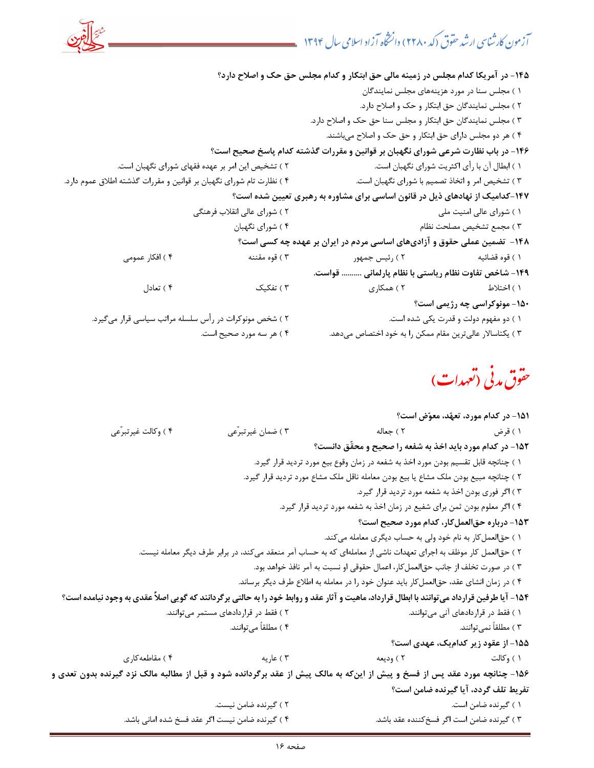

حقوق مدنی (تعهدات)

|                                                                                                                                             |                                                  |                                                                                                                  | ۱۵۱– در کدام مورد، تعهّد، معوّض است؟        |
|---------------------------------------------------------------------------------------------------------------------------------------------|--------------------------------------------------|------------------------------------------------------------------------------------------------------------------|---------------------------------------------|
| ۴ ) وكالت غيرتبرّعي                                                                                                                         | ۴) ضمان غیرتبرّعی                                | ۱ ) قرض مسلسل است المعالم المسلسل المسلسل المسلسل المسلسل المسلسل المسلسل المسلسل المسلسل المسلسل ال             |                                             |
|                                                                                                                                             |                                                  | ۱۵۲- در کدام مورد باید اخذ به شفعه را صحیح و محقّق دانست؟                                                        |                                             |
|                                                                                                                                             |                                                  | ۱ ) چنانچه قابل تقسیم بودن مورد اخذ به شفعه در زمان وقوع بیع مورد تردید قرار گیرد.                               |                                             |
|                                                                                                                                             |                                                  | ۲ ) چنانچه مبیع بودن ملک مشاع یا بیع بودن معامله ناقل ملک مشاع مورد تردید قرار گیرد.                             |                                             |
|                                                                                                                                             |                                                  | ۳ ) اگر فوری بودن اخذ به شفعه مورد تردید قرار گیرد.                                                              |                                             |
|                                                                                                                                             |                                                  | ۴ ) اگر معلوم بودن ثمن برای شفیع در زمان اخذ به شفعه مورد تردید قرار گیرد.                                       |                                             |
|                                                                                                                                             |                                                  |                                                                                                                  | ۱۵۳- درباره حقالعملکار، کدام مورد صحیح است؟ |
|                                                                                                                                             |                                                  | ۱ ) حقالعمل کار به نام خود ولی به حساب دیگری معامله میکند.                                                       |                                             |
|                                                                                                                                             |                                                  | ۲ ) حقالعمل کار موظف به اجرای تعهدات ناشی از معاملهای که به حساب آمر منعقد میکند، در برابر طرف دیگر معامله نیست. |                                             |
|                                                                                                                                             |                                                  | ۳ ) در صورت تخلف از جانب حق لعمل کار، اعمال حقوقی او نسبت به آمر نافذ خواهد بود.                                 |                                             |
|                                                                                                                                             |                                                  | ۴ ) در زمان انشای عقد، حقالعمل کار باید عنوان خود را در معامله به اطلاع طرف دیگر برساند.                         |                                             |
| ۱۵۴- آیا طرفین قرارداد میتوانند با ابطال قرارداد، ماهیت و آثار عقد و روابط خود را به حالتی برگردانند که گویی اصلاً عقدی به وجود نیامده است؟ |                                                  |                                                                                                                  |                                             |
|                                                                                                                                             | ۲) فقط در قراردادهای مستمر میتوانند.             | ۱ ) فقط در قراردادهای آنی میتوانند.<br>۱ ) فقط در قراردادهای آنی میتوانند.                                       |                                             |
|                                                                                                                                             | ۴ ) مطلقاً میتوانند.                             |                                                                                                                  | ۳ ) مطلقاً نمیٍتوانند.                      |
|                                                                                                                                             |                                                  |                                                                                                                  | ۱۵۵– از عقود زیر کدامیک، عهدی است؟          |
|                                                                                                                                             | ۴ ) عاریه صحت است. (۴ ) مقاطعه کاری              | ۱ ) وكالت مساحد المسلم المعنى المسلم المسلم المسلم المسلم المسلم المسلم المسلم المسلم المسلم المسلم المسلم الم   |                                             |
| ۱۵۶- چنانچه مورد عقد پس از فسخ و پیش از اینکه به مالک پیش از عقد برگردانده شود و قبل از مطالبه مالک نزد گیرنده بدون تعدی و                  |                                                  |                                                                                                                  |                                             |
|                                                                                                                                             |                                                  |                                                                                                                  | تفريط تلف گردد، آيا گيرنده ضامن است؟        |
|                                                                                                                                             | ۲ ) گیرنده ضامن نیست.                            |                                                                                                                  | ۱ ) گیرنده ضامن است.                        |
|                                                                                                                                             | ۴ ) گیرنده ضامن نیست اگر عقد فسخ شده امانی باشد. |                                                                                                                  | ۳ ) گیرنده ضامن است اگر فسخ کننده عقد باشد. |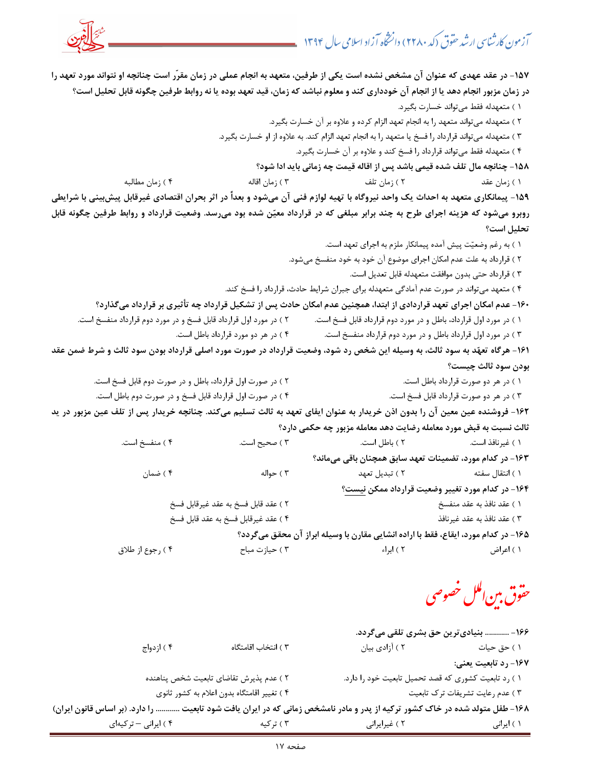

-157 در عقد عهدي كه عنوان آن مشخص نشده است يكي از طرفين، متعهد به انجام عملي در زمان مقرّر است چنانچه او نتواند مورد تعهد را در زمان مزبور انجام دهد يا از انجام آن خودداري كند و معلوم نباشد كه زمان، قيد تعهد بوده يا نه روابط طرفين چگونه قابل تحليل است؟

1 ) متعهدله فقط ميتواند خسارت بگيرد.

2 ) متعهدله ميتواند متعهد را به انجام تعهد الزام كرده و علاوه بر آن خسارت بگيرد.

3 ) متعهدله ميتواند قرارداد را فسخ يا متعهد را به انجام تعهد الزام كند. به علاوه از او خسارت بگيرد.

4 ) متعهدله فقط ميتواند قرارداد را فسخ كند و علاوه بر آن خسارت بگيرد.

-158 چنانچه مال تلف شده قيمي باشد پس از اقاله قيمت چه زماني بايد ادا شود؟

 1 ) زمان عقد 2 ) زمان تلف 3 ) زمان اقاله 4 ) زمان مطالبه -159 پيمانكاري متعهد به احداث يك واحد نيروگاه با تهيه لوازم فني آن ميشود و بعداً در اثر بحران اقتصادي غيرقابل پيشبيني با شرايطي

روبرو ميشود كه هزينه اجراي طرح به چند برابر مبلغي كه در قرارداد معين شده بود ميرسد. وضعيت قرارداد و روابط طرفين چگونه قابل تحليل است؟

1 ) به رغم وضعيت پيش آمده پيمانكار ملزم به اجراي تعهد است.

2 ) قرارداد به علت عدم امكان اجراي موضوع آن خود به خود منفسخ ميشود.

3 ) قرارداد حتي بدون موافقت متعهدله قابل تعديل است.

4 ) متعهد ميتواند در صورت عدم آمادگي متعهدله براي جبران شرايط حادث، قرارداد را فسخ كند.

-160 عدم امكان اجراي تعهد قراردادي از ابتدا، همچنين عدم امكان حادث پس از تشكيل قرارداد چه تأثيري بر قرارداد ميگذارد؟

- 1 ) در مورد اول قرارداد، باطل و در مورد دوم قرارداد قابل فسخ است. 2 ) در مورد اول قرارداد قابل فسخ و در مورد دوم قرارداد منفسخ است.
	- 3 ) در مورد اول قرارداد باطل و در مورد دوم قرارداد منفسخ است. ) 4 در هر دو مورد قرارداد باطل است.

-161 هرگاه تعهد به سود ثالث، به وسيله اين شخص رد شود، وضعيت قرارداد در صورت مورد اصلي قرارداد بودن سود ثالث و شرط ضمن عقد بودن سود ثالث چيست؟

- 1 ) در هر دو صورت قرارداد باطل است. 2 ) در صورت اول قرارداد، باطل و در صورت دوم قابل فسخ است.
- 3 ) در هر دو صورت قرارداد قابل فسخ است. 4 ) در صورت اول قرارداد قابل فسخ و در صورت دوم باطل است.

-162 فروشنده عين معين آن را بدون اذن خريدار به عنوان ايفاي تعهد به ثالث تسليم ميكند. چنانچه خريدار پس از تلف عين مزبور در يد ثالث نسبت به قبض مورد معامله رضايت دهد معامله مزبور چه حكمي دارد؟

 1 ) غيرنافذ است. 2 ) باطل است. 3 ) صحيح است. ) 4 منفسخ است. -163 در كدام مورد، تضمينات تعهد سابق همچنان باقي ميماند؟ 1 ) انتقال سفته 2 ) تبديل تعهد 3 ) حواله 4 ) ضمان -164 در كدام مورد تغيير وضعيت قرارداد ممكن نيست؟ 1 ) عقد نافذ به عقد منفسخ 2 ) عقد قابل فسخ به عقد غيرقابل فسخ 3 ) عقد نافذ به عقد غيرنافذ ) 4 عقد غيرقابل فسخ به عقد قابل فسخ -165 در كدام مورد، ايقاع، فقط با اراده انشايي مقارن با وسيله ابراز آن محقق ميگردد؟

1 ) اعراض 2 ) ابراء 3 ) حيازت مباح 4 ) رجوع از طلاق

حقوق بين اللل خصوصى

|                      |                                                                                                                             | ۱۶۶ –  بنیادی ترین حق بشری تلقی میگردد.              |                                 |
|----------------------|-----------------------------------------------------------------------------------------------------------------------------|------------------------------------------------------|---------------------------------|
| ۴ ) ازدواج           | ٣ ) انتخاب اقامتگاه                                                                                                         | ۲ ) آزادی بیان                                       | ۱ ) حق حیات                     |
|                      |                                                                                                                             |                                                      | ۱۶۷– رد تابعیت یعنی:            |
|                      | ٢ ) عدم پذيرش تقاضاى تابعيت شخص پناهنده                                                                                     | ١ ) رد تابعيت كشورى كه قصد تحميل تابعيت خود را دارد. |                                 |
|                      | ۴ ) تغییر اقامتگاه بدون اعلام به کشور ثانوی                                                                                 |                                                      | ٣) عدم رعايت تشريفات ترك تابعيت |
|                      | ۱۶۸- طفل متولد شده در خاک کشور ترکیه از پدر و مادر نامشخص زمانی که در ایران یافت شود تابعیت  را دارد. (بر اساس قانون ایران) |                                                      |                                 |
| ۴ ) ایرانی - ترکیهای | ۳ ) ترکیه                                                                                                                   | ۲ ) غیرایرانی                                        | ۱ ) ایرانی                      |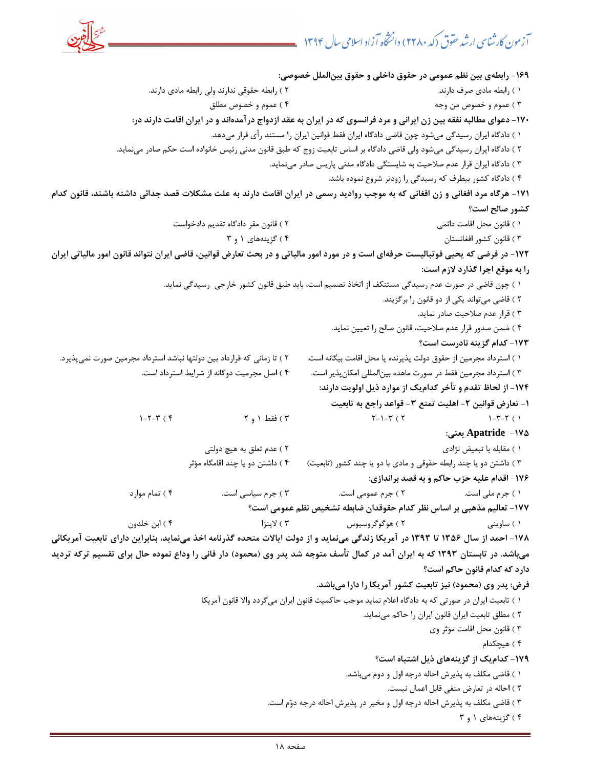

-169 رابطهي بين نظم عمومي در حقوق داخلي و حقوق بينالملل خصوصي: 1 ) رابطه مادي صرف دارند. 2 ) رابطه حقوقي ندارند ولي رابطه مادي دارند. 3 ) عموم و خصوص من وجه 4 ) عموم و خصوص مطلق -170 دعواي مطالبه نفقه بين زن ايراني و مرد فرانسوي كه در ايران به عقد ازدواج درآمدهاند و در ايران اقامت دارند در: 1 ) دادگاه ايران رسيدگي ميشود چون قاضي دادگاه ايران فقط قوانين ايران را مستند رأي قرار ميدهد. 2 ) دادگاه ايران رسيدگي ميشود ولي قاضي دادگاه بر اساس تابعيت زوج كه طبق قانون مدني رئيس خانواده است حكم صادر مينمايد. 3 ) دادگاه ايران قرار عدم صلاحيت به شايستگي دادگاه مدني پاريس صادر مينمايد. 4 ) دادگاه كشور بيطرف كه رسيدگي را زودتر شروع نموده باشد. -171 هرگاه مرد افغاني و زن افغاني كه به موجب رواديد رسمي در ايران اقامت دارند به علت مشكلات قصد جدائي داشته باشند، قانون كدام كشور صالح است؟ 1 ) قانون محل اقامت دائمي 2 ) قانون مقر دادگاه تقديم دادخواست 3 ) قانون كشور افغانستان 4 ) گزينههاي 3و 1 -172 در فرضي كه يحيي فوتباليست حرفهاي است و در مورد امور مالياتي و در بحث تعارض قوانين، قاضي ايران نتواند قانون امور مالياتي ايران را به موقع اجرا گذارد لازم است: 1 ) چون قاضي در صورت عدم رسيدگي مستنكف از اتخاذ تصميم است، بايد طبق قانون كشور خارجي رسيدگي نمايد. 2 ) قاضي ميتواند يكي از دو قانون را برگزيند. 3 ) قرار عدم صلاحيت صادر نمايد. 4 ) ضمن صدور قرار عدم صلاحيت، قانون صالح را تعيين نمايد. -173 كدام گزينه نادرست است؟ 1 ) استرداد مجرمين از حقوق دولت پذيرنده يا محل اقامت بيگانه است. 2 ) تا زماني كه قرارداد بين دولتها نباشد استرداد مجرمين صورت نميپذيرد. 3 ) استرداد مجرمين فقط در صورت ماهده بينالمللي امكانپذير است. 4 ) اصل مجرميت دوگانه از شرايط استرداد است. -174 از لحاظ تقدم و تأخر كدا ميك از موارد ذيل اولويت دارند: -1 تعارض قوانين 2 - اهليت تمتع 3 - قواعد راجع به تابعيت 1) 1-7-3 ( 3) 1-3-1 ( 3) 4 ) 4 ( 7 ) 1-7-1 ( 3) 4 ) 1-7-1 ( 3) 4 ) 1-7-1 ( 3) 4 ) 1-7-1 ( 3) 4 ) 1-7-1 ( 3) 4 ( 3) 4 ( 3) 4 ( 3) 4 ( 3) 4 ( 3) 4 ( 3) 4 ( 3) 4 ( 3) 4 ( 3) 4 ( 3) 4 ( 3) 4 ( 3) 4 ( 3) 4 ( 3) 4 ( 3) 4 ( 3) 4 -175 **Apatride** يعني: 1 ) مقابله با تبعيض نژادي 2 ) عدم تعلق به هيچ دولتي 3 ) داشتن دو يا چند رابطه حقوقي و مادي با دو يا چند كشور (تابعيت) 4 ) داشتن دو يا چند اقامگاه مؤثر -176 اقدام عليه حزب حاكم و به قصد براندازي: 1 ) جرم ملي است. 2 ) جرم عمومي است. 3 ) جرم سياسي است. 4 ) تمام موارد -177 تعاليم مذهبي بر اساس نظر كدام حقوقدان ضابطه تشخيص نظم عمومي است؟ 1 ) ساويني 2 ) هوگوگروسيوس 3 ) لاپنزا ) ا 4 بن خلدون -178 احمد از سال 1356 تا 1393 در آمريكا زندگي مينمايد و از دولت ايالات متحده گذرنامه اخذ مينمايد، بنابراين داراي تابعيت آمريكائي ميباشد. در تابستان 1393 كه به ايران آمد در كمال تأسف متوجه شد پدر وي (محمود) دار فاني را وداع نموده حال براي تقسيم تركه ترديد دارد كه كدام قانون حاكم است؟ فرض: پدر وي (محمود) نيز تابعيت كشور آمريكا را دارا ميباشد. 1 ) تابعيت ايران در صورتي كه به دادگاه اعلام نمايد موجب حاكميت قانون ايران ميگردد والا قانون آمريكا 2 ) مطلق تابعيت ايران قانون ايران را حاكم مينمايد. 3 ) قانون محل اقامت مؤثر وي 4 ) هيچكدام -179 كداميك از گزينههاي ذيل اشتباه است؟ 1 ) قاضي مكلف به پذيرش احاله درجه اول و دوم ميباشد. 2 ) احاله در تعارض منفي قابل اعمال نيست. 3 ) قاضي مكلف به پذيرش احاله درجه اول و مخير در پذيرش احاله درجه دوم است. 4 ) گزينههاي 3و 1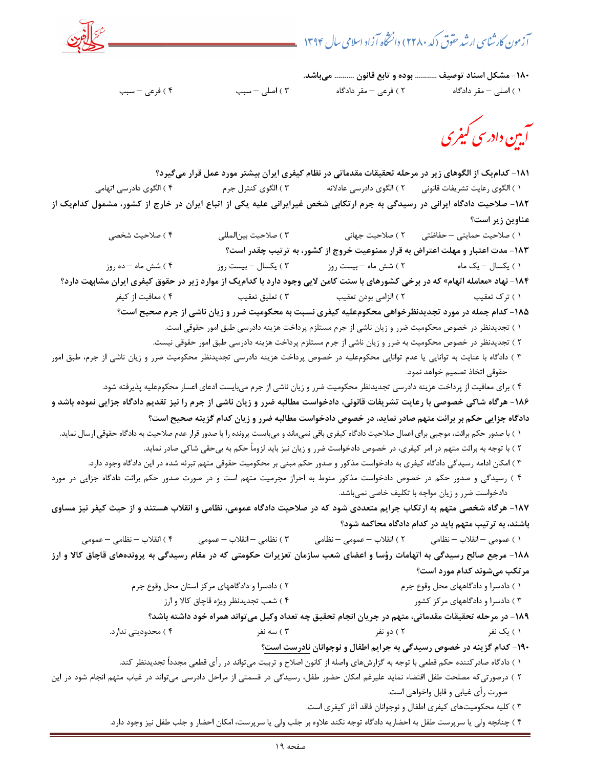آزمون کارشناسی ارشد حقوق (کد ۲۲۸۰) دانشخاه آزاد اسلامی سال ۱۳۹۴



-180 مشكل اسناد توصيف ........... بوده و تابع قانون .......... ميباشد.

1 ) اصلي – مقر دادگاه 2 ) فرعي – مقر دادگاه 3 ) اصلي – سبب 4 ) فرعي – سبب

۔<br> آیین داد سی کیفری

-181 كداميك از الگوهاي زير در مرحله تحقيقات مقدماتي در نظام كيفري ايران بيشتر مورد عمل قرار ميگيرد؟ 1 ) الگوي رعايت تشريفات قانوني 2 ) الگوي دادرسي عادلانه 3 ) الگوي كنترل جرم 4 ) الگوي دادرسي اتهامي -182 صلاحيت دادگاه ايراني در رسيدگي به جرم ارتكابي شخص غيرايراني عليه يكي از اتباع ايران در خارج از كشور، مشمول كداميك از عناوين زير است؟ 1 ) صلاحيت حمايتي – حفاظتي 2 ) صلاحيت جهاني 3 ) صلاحيت بينالمللي 4 ) صلاحيت شخصي -183 مدت اعتبار و مهلت اعتراض به قرار ممنوعيت خروج از كشور، به ترتيب چقدر است؟

 1 ) يكسال – يك ماه 2 ) شش ماه – بيست روز 3 ) يكسال – بيس ت روز 4 ) شش ماه – ده روز -184 نهاد «معامله اتهام» كه در برخي كشورهاي با سنت كامن لايي وجود دارد با كداميك از موارد زير در حقوق كيفري ايران مشابهت دارد؟ 1 ) ترك تعقيب 2 ) الزامي بودن تعقيب 3 ) تعليق تعقيب 4 ) معافيت از كيفر

-185 كدام جمله در مورد تجديدنظرخواهي محكومعليه كيفري نسبت به محكوميت ضرر و زيان ناشي از جرم صحيح است؟

1 ) تجديدنظر در خصوص محكوميت ضرر و زيان ناشي از جرم مستلزم پرداخت هزينه دادرسي طبق امور حقوقي است.

2 ) تجديدنظر در خصوص محكوميت به ضرر و زيان ناشي از جرم مستلزم پرداخت هزينه دادرسي طبق امور حقوقي نيست.

 3 ) دادگاه با عنايت به توانايي يا عدم توانايي محكومعليه در خصوص پرداخت هزينه دادرسي تجديدنظر محكوميت ضرر و زيان ناشي از جرم، طبق امور حقوقي اتخاذ تصميم خواهد نمود.

4 ) براي معافيت از پرداخت هزينه دادرسي تجديدنظر محكوميت ضرر و زيان ناشي از جرم ميبايست ادعاي اعسار محكومعليه پذيرفته شود.

-186 هرگاه شاكي خصوصي با رعايت تشريفات قانوني، دادخواست مطالبه ضرر و زيان ناشي از جرم را نيز تقديم دادگاه جزايي نموده باشد و دادگاه جزايي حكم بر برائت متهم صادر نمايد، در خصوص دادخواست مطالبه ضرر و زيان كدام گزينه صحيح است؟

) 1 با صدور حكم برائت، موجبي براي اعمال صلاحيت دادگاه كيفري باقي نميماند و ميبايست پرونده را با صدور قرار عدم صلاحيت به دادگاه حقوقي ارسال نمايد. 2 ) با توجه به برائت متهم در امر كيفري، در خصوص دادخواست ضرر و زيان نيز بايد لزوماً حكم به بيحقي شاكي صادر نمايد.

- 3 ) امكان ادامه رسيدگي دادگاه كيفري به دادخواست مذكور و صدور حكم مبني بر محكوميت حقوقي متهم تبرئه شده در اين دادگاه وجود دارد.
- 4 ) رسيدگي و صدور حكم در خصوص دادخواست مذكور منوط به احراز مجرميت متهم است و در صورت صدور حكم برائت دادگاه جزايي در مورد دادخواست ضرر و زيان مواجه با تكليف خاصي نميباشد.

-187 هرگاه شخصي متهم به ارتكاب جرايم متعددي شود كه در صلاحيت دادگاه عمومي، نظامي و انقلاب هستند و از حيث كيفر نيز مساوي باشند، به ترتيب متهم بايد در كدام دادگاه محاكمه شود؟

 1 ) عمومي – انقلاب – نظامي 2 ) انقلاب – عمومي – نظامي 3 ) نظامي – انقلاب – عمومي 4 ) انقلاب – نظامي – عمومي ۱۸۸- مرجع صالح رسيدگي به اتهامات رؤسا و اعضاي شعب سازمان تعزيرات حكومتي كه در مقام رسيدگي به پروندههاي قاچاق كالا و ارز مرتكب ميشوند كدام مورد است؟

- ) 1 دادسرا و دادگاههاي محل وقوع جرم 2 ) دادسرا و دادگاههاي مركز استان محل وقوع جرم
	- 3 ) دادسرا و دادگاههاي مركز كشور 4 ) شعب تجديدنظر ويژه قاچاق كالا و ارز

-189 در مرحله تحقيقات مقدماتي، متهم در جريان انجام تحقيق چه تعداد وكيل مي تواند همراه خود داشته باشد؟

1 ) يك نفر 2 ) دو نفر 3 ) سه نفر 4 ) محدوديتي ندارد.

-190 كدام گزينه در خصوص رسيدگي به جرايم اطفال و نوجوانان نادرست است؟

1 ) دادگاه صادر كننده حكم قطعي با توجه به گزارش هاي واصله از كانون اصلاح و تربيت مي تواند در رأي قطعي مجدداً تجديدنظر كند.

 2 ) درصورتيكه مصلحت طفل اقتضاء نمايد عليرغم امكان حضور طفل، رسيدگي در قسمتي از مراحل دادرسي ميتواند در غياب متهم انجام شود در اين صورت رأي غيابي و قابل واخواهي است.

3 ) كليه محكوميتهاي كيفري اطفال و نوجوانان فاقد آثار كيفري است.

4 ) چنانچه ولي يا سرپرست طفل به احضاريه دادگاه توجه نكند علاوه بر جلب ولي يا سرپرست، امكان احضار و جلب طفل نيز وجود دارد.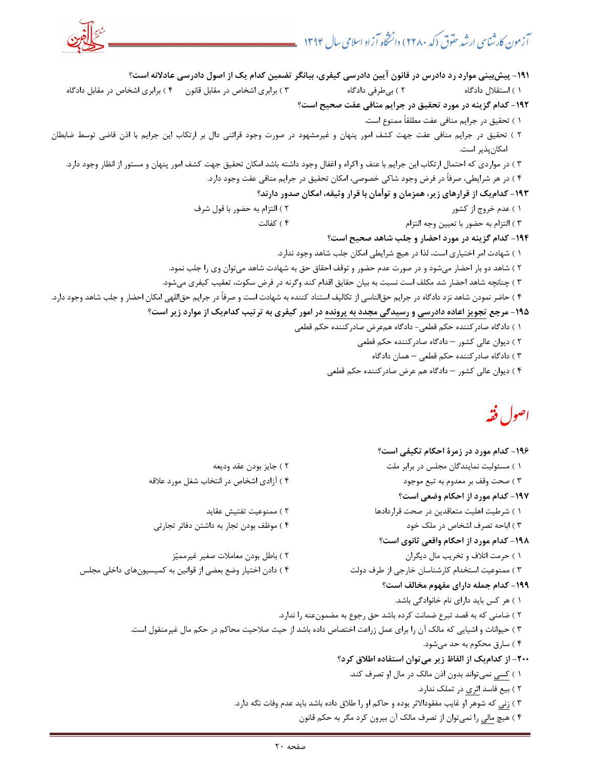

#### اصول فقه

| ۱۹۶- کدام مورد در زمرهٔ احکام تکیفی است؟                                                                        |                                                             |
|-----------------------------------------------------------------------------------------------------------------|-------------------------------------------------------------|
| ۱) مسئولیت نمایندگان مجلس در برابر ملت                                                                          | ۲ ) جایز بودن عقد ودیعه                                     |
| ۳ ) صحت وقف بر معدوم به تبع موجود                                                                               | ۴ ) آزادی اشخاص در انتخاب شغل مورد علاقه                    |
| ۱۹۷- کدام مورد از احکام وضعی است؟                                                                               |                                                             |
| ١ ) شرطيت اهليت متعاقدين در صحت قراردادها                                                                       | ۲ ) ممنوعیت تفتیش عقاید                                     |
| ۳ ) اباحه تصرف اشخاص در ملک خود                                                                                 | ۴ ) موظف بودن تجار به داشتن دفاتر تجارتی                    |
| ۱۹۸– کدام مورد از احکام واقعی ثانوی است؟                                                                        |                                                             |
| ١ ) حرمت اتلاف و تخريب مال ديگران                                                                               | ٢ ) باطل بودن معاملات صغير غيرمميّز                         |
| ۳ ) ممنوعیت استخدام کارشناسان خارجی از طرف دولت                                                                 | ۴ ) دادن اختیار وضع بعضی از قوانین به کمیسیونهای داخلی مجلس |
| ۱۹۹– کدام جمله دارای مفهوم مخالف است؟                                                                           |                                                             |
| ١ ) هر كس بايد داراي نام خانوادگي باشد.                                                                         |                                                             |
| ۲ ) ضامنی که به قصد تبرع ضمانت کرده باشد حق رجوع به مضمونعنه را ندارد.                                          |                                                             |
| ۳ ) حیوانات و اشیایی که مالک آن را برای عمل زراعت اختصاص داده باشد از حیث صلاحیت محاکم در حکم مال غیرمنقول است. |                                                             |
| ۴ ) سارق محکوم به حد میشود.                                                                                     |                                                             |
| ۲۰۰– از کدامیک از الفاظ زیر می توان استفاده اطلاق کرد؟                                                          |                                                             |
| ١ ) كسى نمى تواند بدون اذن مالك در مال او تصرف كند.                                                             |                                                             |
| ۲ ) بیع فاسد <u>اثری</u> در تملک ندارد.                                                                         |                                                             |
| ۳ ) <u>زنی</u> که شوهر او غایب مفقودالاثر بوده و حاکم او را طلاق داده باشد باید عدم وفات نگه دارد.              |                                                             |
| ۴ ) هیچ <u>مالی</u> را نمی¤وان از تصرف مالک آن بیرون کرد مگر به حکم قانون                                       |                                                             |
|                                                                                                                 |                                                             |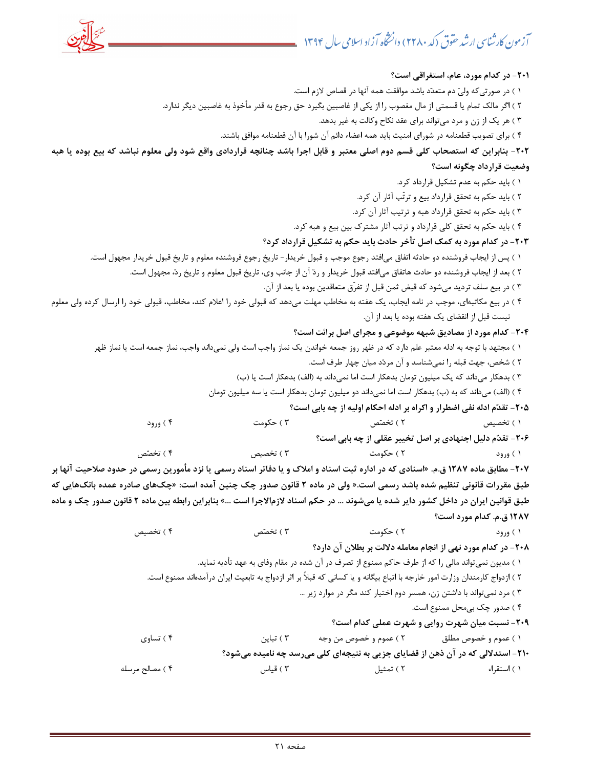-201 در كدام مورد، عام، استغراقي است؟ 1 ) در صورتيكه ولي دم متعدد باشد موافقت همه آنها در قصاص لازم است. 2 ) اگر مالك تمام يا قسمتي از مال مغصوب را از يكي از غاصبين بگيرد حق رجوع به قدر مأخوذ به غاصبين ديگر ندارد. 3 ) هر يك از زن و مرد ميتواند براي عقد نكاح وكالت به غير بدهد. 4 ) براي تصويب قطعنامه در شوراي امنيت بايد همه اعضاء دائم آن شورا با آن قطعنامه موافق باشند. -202 بنابراين كه استصحاب كلي قسم دوم اصلي معتبر و قابل اجرا باشد چنانچه قراردادي واقع شود ولي معلوم نباشد كه بيع بوده يا هبه وضعيت قرارداد چگونه است؟ ) باي 1 د حكم به عدم تشكيل قرارداد كرد. 2 ) بايد حكم به تحقق قرارداد بيع و ترتّب آثار آن كرد. 3 ) بايد حكم به تحقق قرارداد هبه و ترتيب آثار آن كرد. 4 ) بايد حكم به تحقق كلي قرارداد و ترتب آثار مشترك بين بيع و هبه كرد. -203 در كدام مورد به كمك اصل تأخر حادث بايد حكم به تشكيل قرارداد كرد؟ 1 ) پس از ايجاب فروشنده دو حادثه اتفاق ميافتد رجوع موجب و قبول خريدار- تاريخ رجوع فروشنده معلوم و تاريخ قبول خريدار مجهول است. 2 ) بعد از ايجاب فروشنده دو حادث هاتفاق ميافتد قبول خريدار و رد آن از جانب وي، تاريخ قبول معلوم و تاريخ رد، مجهول است. 3 ) در بيع سلف ترديد ميشود كه قبض ثمن قبل از تفرّق متعاقدين بوده يا بعد از آن. 4 ) در بيع مكاتبهاي، موجب در نامه ايجاب، يك هفته به مخاطب مهلت ميدهد كه قبولي خود را اعلام كند، مخاطب، قبولي خود را ارسال كرده ولي معلوم نيست قبل از انقضاي يك هفته بوده يا بعد از آن. -204 كدام مورد از مصاديق شبهه موضوعي و مجراي اصل برائت است؟ 1 ) مجتهد با توجه به ادله معتبر علم دارد كه در ظهر روز جمعه خواندن يك نماز واجب است ولي نميداند واجب، نماز جمعه است يا نماز ظهر 2 ) شخص، جهت قبله را نميشناسد و آن مردد ميان چهار طرف است. 3 ) بدهكار ميداند كه يك ميليون تومان بدهكار است اما نميداند به (الف) بدهكار است يا (ب) ) ( 4 الف) ميداند كه به (ب) بدهكار است اما نميداند دو ميليون تومان بدهكار است يا سه ميليون تومان -205 تقدم ادله نفي اضطرار و اكراه بر ادله احكام اوليه از چه بابي است؟ 1 ) تخصيص 2 ) تخصص 3 ) حكومت 4 ) ورود -206 تقدم دليل اجتهادي بر اصل تخيير عقلي از چه بابي است؟ 1 ) ورود 2 ) حكومت 3 ) تخصيص 4 ) تخصص -207 مطابق ماده 1287 «ق.م. اسنادي كه در اداره ثبت اسناد و املاك و يا دفاتر اسناد رسمي يا نزد مأمورين رسمي در حدود صلاحيت آنها بر طبق مقررات قانوني تنظيم شده باشد رسمي است.« ولي در ماده ٢ قانون صدور چک چنين آمده است: «چکـهاي صادره عمده بانکـهايي که طبق قوانين ايران در داخل كشور داير شده يا ميشوند ... در حكم اسناد لازمالاجرا است ...» بنابراين رابطه بين ماده 2 قانون صدور چك و ماده 1287 ق.م. كدام مورد است؟ 1 ) ورود 2 ) حكومت 3 ) تخصص 4 ) تخصيص -208 در كدام مورد نهي از انجام معامله دلالت بر بطلان آن دارد؟ 1 ) مديون نميتواند مالي را كه از طرف حاكم ممنوع از تصرف در آن شده در مقام وفاي به عهد تأديه نمايد. 2 ) ازدواج كارمندان وزارت امور خارجه با اتباع بيگانه و يا كساني كه قبلاً بر اثر ازدواج به تابعيت ايران درآمدهاند ممنوع است. 3 ) مرد نميتواند با داشتن زن، همسر دوم اختيار كند مگر در موارد زير ... 4 ) صدور چك بيمحل ممنوع است. -209 نسبت ميان شهرت روايي و شهرت عملي كدام است؟ 1 ) عموم و خصوص مطلق 2 ) عموم و خصوص من وجه 3 ) تباين 4 ) تساوي -210 استدلالي كه در آن ذهن از قضاياي جزيي به نتيجهاي كلي ميرسد چه ناميده ميشود؟ 1 ) استقراء 2 ) تمثيل 3 ) قياس 4 ) مصالح مرسله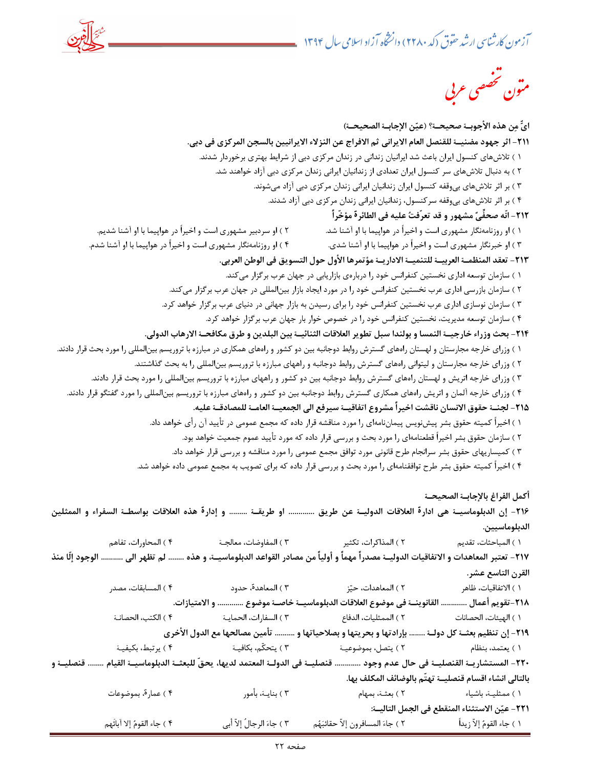

 GH &%ن

-221 عين الاستثناء المنقطع في الجمل التاليـة:

ايٌّ من هذه الأجوبــة صحيحــة؟ (عيّن الإجابــة الصحيحــة) -211 اثر جهود مضنيـة للقنصل العام الايراني ثم الافراج عن النزلاء الايرانيين بالسجن المركزي في دبي. 1 ) تلاشهاي كنسول ايران باعث شد ايرانيان زنداني در زندان مركزي دبي از شرايط بهتري برخوردار شدند. 2 ) به دنبال تلاشهاي سر كنسول ايران تعدادي از زندانيان ايراني زندان مركزي دبي آزاد خواهند شد. 3 ) بر اثر تلاشهاي بيوقفه كنسول ايران زندانيان ايراني زندان مركزي دبي آزاد ميشوند. 4 ) بر اثر تلاشهاي بيوقفه سركنسول، زندانيان ايراني زندان مركزي دبي آزاد شدند. ٢١٢- انّه صحفِّيّ مشهور و قد تعرّفتُ عليه في الطائرة مؤخّراً 1 ) او روزنامهنگار مشهوري است و اخيراً در هواپيما با او آشنا ش .د 2 ) او سردبير مشهوري است و اخيراً در هواپيما با او آشنا شديم. 3 ) او خبرنگار مشهوري است و اخيراً در هواپيما با او آشنا شدي. 4 ) او روزنامهنگار مشهوري است و اخيراً در هواپيما با او آشنا شدم. -213 تعقد المنظمـة العربيـة للتنميـة الاداريـة مؤتمرها الأول حول التسويق في الوطن العربي. 1 ) سازمان توسعه اداري نخستين كنفرانس خود را دربارهي بازاريابي در جهان عرب برگزار ميكند. ٢ ) سازمان بازرسي اداري عرب نخستين كنفرانس خود را در مورد ايجاد بازار بينالمللي در جهان عرب برگزار ميكند. 3 ) سازمان نوسازي اداري عرب نخستين كنفرانس خود را براي رسيدن به بازار جهاني در دنياي عرب برگزار خواهد كرد. 4 ) سازمان توسعه مديريت، نخستين كنفرانس خود را در خصوص خوار بار جهان عرب برگزار خواهد كرد. -214 بحث وزراء خارجيـة النمسا و بولندا سبل تطوير العلاقات الثنائيـة بين البلدين و طرق مكافحـة الارهاب الدولي. ۱ ) وزراي خارجه مجارستان و لهستان راههاي گسترش روابط دوجانبه بين دو كشور و راههاي همكاري در مبارزه با تروريسم بينالمللي را مورد بحث قرار دادند. 2 ه ) وزراي خارجه مجارستان و ليتواني راه اي گسترش روابط دوجانبه و راههاي مبارزه با تروريس م بينالمللي را به بحث گذاشتند. ۳ ) وزراي خارجه اتريش و لهستان راههاي گسترش روابط دوجانبه بين دو كشور و راههاي مبارزه با تروريسم بينالمللي را مورد بحث قرار دادند. ۴ ) وزراي خارجه آلمان و اتريش راههاي همكاري گسترش روابط دوجانبه بين دو كشور و راههاي مبارزه با تروريسم بينالمللي را مورد گفتگو قرار دادند. ٢١۵ - لجنــة حقوق الانسان ناقشت اخيراً مشروع اتفاقيــة سيرفع الي الجمعيــة العامــة للمصادقــة عليه. 1 ) اخيراً كميته حقوق بشر پيش نويس پيمان نامهاي را مورد مناقشه قرار داده كه مجمع عمومي در تأييد آن رأي خواهد داد. 2 ) سازمان حقوق بشر اخيراً قطعنامهاي را مورد بحث و بررسي قرار داده كه مورد تأييد عموم جمعيت خواهد بود. 3 ) كميساريهاي حقوق بشر سرانجام طرح قانوني مورد توافق مجمع عمومي را مورد مناقشه و بررسي قرار خواهد داد. 4 ) اخيراً كميته حقوق بشر طرح توافقنامهاي را مورد بحث و بررسي قرار داده كه براي تصويب به مجمع عمومي داده خواهد شد. أكمل الفراغ بالإجابـة الصحيحـة ٢١۶- إن الدبلوماسيــة هي ادارة العلاقات الدوليــة عن طريق ............. او طريقــة ......... و إدارة هذه العلاقات بواسطــة السفراء و الممثلين بالد لوماسيين. 1 ) المباحثات، تقديم 2 ) المذاكرات، تكثير 3 ) المفاوضات، معالجـة 4 ) المحاورات، تفاهم ٢١٧- تعتبر المعاهدات و الاتفاقيات الدوليــة مصدراً مهماً و أولياً من مصادر القواعد الدبلوماسيــة، و هذه ......... لم تظهر الي ........... الوجود إلّا منذ القرن التاسع عشر. 1 ) الاتفاقيات، ظاهر 2 ) المعاهدات، حيز 3 ) المعاهدة، حدود 4 ) المسابقات، مصدر 818–تقويم أعمال ............. القانوينـــة في موضوع العلاقات الدبلوماسيـــة خاصـــة موضوع .............. و الامتيازات. 1 ) الهيئات، الحصانات 2 ) الممثليات، الدفاع 3 ) السفارات، الحمايـة 4 ) الكتب، الحصانـة -219 إن تنظيم بعثـة كل دولـة ........ بإرادتها و بحريتها و بصلاحياتها و .......... تأمين مصالحها مع الدول الأخري 1 ) يعتمد، بنظام 2 ) يتصل، بموضوعيـة 3 ) يتحكّم، بكافيـة 4 ) يرتبط، بكيفيـة -220 المستشاريـة القنصليـة في حال عدم وجود ............. قنصليـة في الدولـة المعتمد لديها، يحقّ للبعثـة الدبلوماسيـة القيام ........ قنصليـة و بالتالي انشاء اقسام قنصليـة تهتّم بالوضائف المكلف بها. 1 ) ممثليـة، باشياء 2 ـ) بعث ة، بمهام 3 ـ) بناي ة، بأمور 4 ) عمارة، بموضوعات

) 1 جاء القوم إلاّ زيداً 2 ) جاء المسافرون إلاّ حقائبهم 3 ) جاء الرجالُ إلاّ أبي 4 ) جاء القوم إلا آبائَهم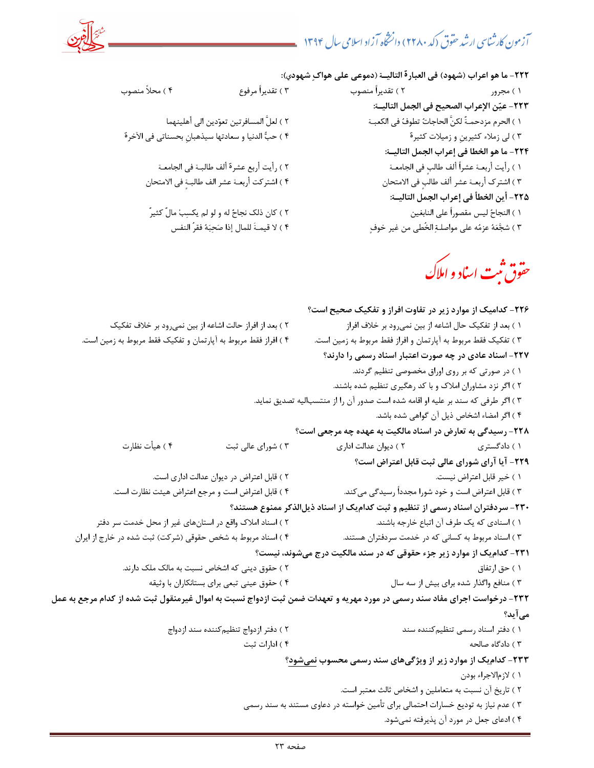

-222 ما هو اعراب (شهود) في العبارة التاليـة (دموعي علي هواك شهودي):

 1 ) مجرور 2 ) تقديراً منصوب 3 ) تقديراً مر وعف 4 ) محلاً منصوب -223 عين الإعراب الصحيح في الجمل التاليـة: ) 1 الحرم مزدحمـةٌ لكنَّ الحاجات تطوف في الكعبـة 2 ) لعلَّ المسافرتين عوت دين الي أهلينهما 3 ) لي زملاء كثيرينِ و زميلات كثيرة 4 ) حب الدنيا و سعادتها سيذهبانِ بحسناتي في الآخرة -224 ما هو الخطا في إعراب الجمل التاليـة: 1 ) رأيت ـربعأ ة لأعشراً ف طالبٍ في الجامعـة 2 ) رأيت أربع عشرة أ لف طالبـة في الجامعـة 3 ) اشترك ـربعأ ة أعشر لف طالبٍ في الامتحان 4 ) اشتركت أربعـة عشر الف طالبـ ٍ -225 أين الخطأ في إعراب الجمل التاليـة: ) ا 1 لنجاح ليس مقصوراً علي النابغين 2 ) كان ذلك ن جاح له و لو لم يكسب مالٌ كثيرٌ 3 ) شجعه عزم ه علي مواصلـ ةِ الخُطي من غير خوف 4 ( لا قيمـ َة للمال إذا صحبه فقرُ النفس

۴ ) اشتركت أربعــة عشر الف طالبــة في الامتحان

مق**وق <sup>ثب</sup>ت** اساد و املاك

-226 كداميك از موارد زير در تفاوت افراز و تفكيك صحيح است؟ 1 ) بعد از تفكيك حال اشاعه از بين نم يرود بر خلاف افراز 2 ) بعد از افراز حالت اشاعه از بين نميرود بر خلاف تفكيك 3 ) تفكيك فقط مربوط به آپارتمان و افراز فقط مربوط به زمين است. 4 ) افراز فقط مربوط به آپارتمان و تفكيك فقط مربوط به زمين است. -227 اسناد عادي در چه صورت اعتبار اسناد رسمي را دارند؟ 1 ) در صورتي كه بر روي اوراق مخصوصي تنظيم گردند. 2 ) اگر نزد مشاوران املاك و با كد رهگيري تنظيم شده باشند. 3 ) اگر طرفي كه سند بر عليه او اقامه شده است صدور آن را از منتسباليه تصديق نمايد. 4 ) اگر امضاء اشخاص ذيل آن گواهي شده باشد. -228 رسيدگي به تعارض در اسناد مالكيت به عهده چه مرجعي است؟ 1 ) دادگستري 2 ) ديوان عدالت اداري 3 ) شوراي عالي ثبت 4 ) هيأت نظارت -229 آيا آراي شوراي عالي ثبت قابل اعتراض است؟ 1 ) خير قابل اعتراض نيست. 2 ) قابل اعتراض در ديوان عدالت اداري ست.ا 3 ) قابل اعتراض است و كند. خود شورا مجدداً رسيدگي مي 4 ) قابل اعتراض است و مرجع اعتراض هيئت نظارت است. -230 سردفتران اسناد رسمي از تنظيم و ثبت كداميك از اسناد ذيلالذكر ممنوع هستند؟ 1 ) اسنادي هك يك طرف آن اتباع خارجه باشند. 2 ) اسناد املاك واقع در اس تانهاي غير از محل خدمت سر دفتر 3 ) اسناد مربوط به كساني كه در خدمت سردفتران هستند. 4 ) اسناد مربوط به شخص حقوقي (شركت) ثبت شده در خارج از ايران -231 كداميك از موارد زير جزء حقوقي كه در سند مالكيت درج ميشوند، نيست؟ 1 ) حق ارتفاق 2 ) حقوق ديني كه اشخاص نسبت به مالك ملك دارند. 3 ) منافع واگذار شده براي بيش از سه سال 4 ) حقوق عيني تبعي براي بستانكاران با وثيقه -232 درخواست اجراي مفاد سند رسمي در مورد مهريه و تعهدات ضمن ثبت ازدواج نسبت به اموال غيرمنقول ثبت شده از كدام مرجع به عمل ميآيد؟ ) 1 دفتر اسناد رسمي تنظيمكننده سند 2 ) دفتر ازدواج تنظيمكننده سند ازدواج 3 ) دادگاه صالحه 4 ) ادارات ثبت ۲۳۳- كداميك از موارد زير از ويژگيهاي سند رسمي محسوب نميشود؟ 1 ) لازمالاجراء بودن 2 ) تاريخ آن نسبت به متعاملين و اشخاص ثالث معتبر است. 3 ) عدم نياز به توديع خسارات احتمالي براي تأمين خواسته در دعاوي مستند به سند رسمي 4 ) ادعاي جعل در مورد آن پذيرفته نميشود.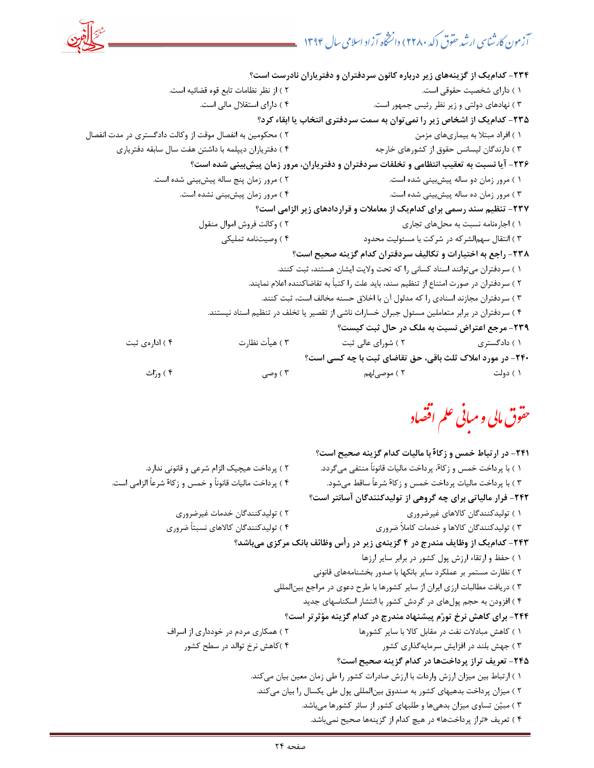

-234 كداميك از گزينههاي زير درباره كانون سردفتران و دفترياران نادرست است؟ ) دا 1 راي شخصيت حقوقي است. ) از 2 نظر نظامات تابع قوه قضائيه است. 3 ) نهادهاي دولتي و زير نظر رئيس جمهور است. 4 ) داراي استقلال مالي است. -235 كداميك از اشخاص زير را نميتوان به سمت سردفتري انتخاب يا ابقاء كرد؟ 1 ) افراد مبتلا به بيماريهاي مزمن 2 ) محكومين به انفصال موقت از وكالت دادگستري در مدت انفصال 3 ) دارندگان ليسانس حقوق از كشورهاي خارجه 4 ) دفترياران ديپلمه با داشتن هفت سال سابقه دفترياري -236 آيا نسبت به تعقيب انتظامي و تخلفات سردفتران و دفترياران، مرور زمان پيشبيني شده است؟ 1 ) مرور زمان دو ساله پيشبيني شده است. 2 ) مرور زمان پنج ساله پيشبيني شده است. 3 ) مرور زمان ده ساله پيشبيني شده است. 4 ) مرور زمان پيشبيني نشده است. -237 تنظيم سند رسمي براي كداميك از معاملات و قراردادهاي زير الزامي است؟ ) ا 1 جارهنامه نسبت به محلهاي تجاري 2 ) وكالت فروش اموال منقول 3 ) انتقال سهمالشركه در شركت با مسئوليت محدود 4 ) وصيتنامه تمليكي -238 راجع به اختيارات و تكاليف سردفتران كدام گزينه صحيح است؟ 1 ) سردفتران ميتوانند اسناد كساني را كه تحت ولايت ايشان هستند، ثبت كنند. 2 ) سردفتران در صورت امتناع از تنظيم سند، بايد علت را كتباً به تقاضاكننده اعلام نمايند. 3 ) سردفتران مجازند اسنادي را كه مدلول آن با اخلاق حسنه مخالف است، ثبت كنند. 4 ) سردفتران در برابر متعاملين مسئول جبران خسارات ناشي از تقصير يا تخلف در تنظيم اسناد نيستند. -239 مرجع اعتراض نسبت به ملك در حال ثبت كيست؟ 1 ) دادگستري 2 ) شوراي عالي ثبت 3 ) هيأت نظارت 4 ) ادارهي ثبت -240 در مورد املاك ثلث باقي، حق تقاضاي ثبت با چه كسي است؟ 1 ) دولت 2 لهم ) موصي 3 ) وصي 4 ) وراث

حقوق مالی و مبانی علم اقتصاد

-241 در ارتباط خمس و زكاة با ماليات كدام گزينه صحيح است؟ 1 ) با پرداخت خمس و زكاة، پرداخت ماليات قانوناً منتفي ميگردد. 2 ) پرداخت هيچيك الزام شرعي و قانوني ندارد. 3 ) با پرداخت ماليات پرداخت خمس و زكاة شرعاً ساقط ميشود. 4 ) پرداخت ماليات قانوناً و خمس و زكاة شرعاً الزامي است. -242 فرار مالياتي براي چه گروهي از توليدكنندگان آسانتر است؟ 1 ) توليدكنندگان كالاهاي غيرضروري 2 ) توليدكنندگان خدمات غيرضروري 3 ) توليدكنندگان كالاها و خدمات كاملاً ضروري ) تو 4 ليدكنندگان كالاهاي نسبتاً ضروري -243 كداميك از وظايف مندرج در 4 گزينهي زير در رأس وظائف بانك مركزي ميباشد؟ 1 ) حفظ و ارتقاء ارزش پول كشور در برابر ساير ارزها ٢ ) نظارت مستمر بر عملكرد ساير بانكها با صدور بخشنامههاي قانوني 3 ) دريافت مطالبات ارزي ايران از ساير كشورها با طرح دعوي در مراجع بينالمللي 4 ) افزودن به حجم پولهاي در گردش كشور با انتشار اسكناسهاي جديد -244 براي كاهش نرخ تورم پيشنهاد مندرج در كدام گزينه مؤثرتر است؟ 1 ) كاهش مبادلات نفت در مقابل كالا با ساير كشورها ) 2 همكاري مردم در خودداري از اسراف ) 3 جهش بلند در افزايش سرمايهگذاري كشور 4 )كاهش نرخ توالد در سطح كشور -245 تعريف تراز پر داختها در كدام گزينه صحيح است؟ 1 ) ارتباط بين ميزان ارزش واردات با ارزش صادرات كشور را طي زمان معين بيان مي كند. ٢ ) ميزان پرداخت بدهيهاي كشور به صندوق بينالمللي پول طي يكسال را بيان مي كند. 3 ) مبين تساوي ميزان بدهيها و طلبهاي كشور از سائر كشورها ميباشد. 4 ) تعريف « » ها تراز پرداخت در هيچ كدام از گزينهها صحيح نميباشد.